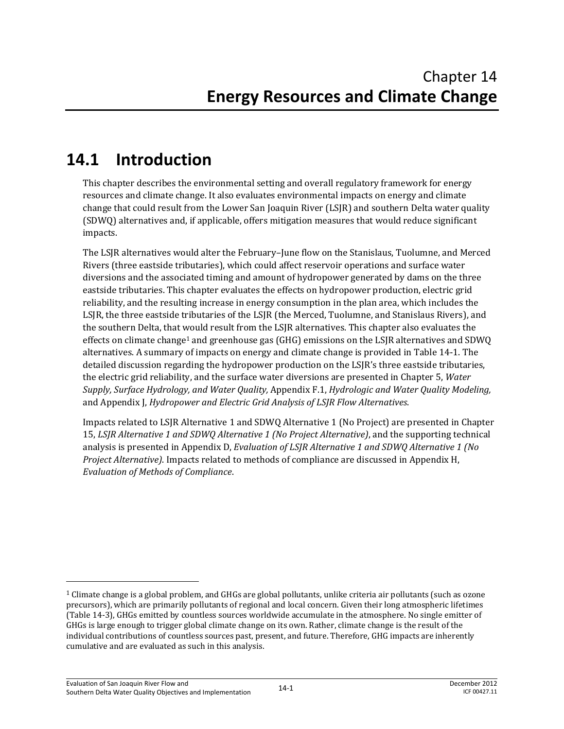# **14.1 Introduction**

This chapter describes the environmental setting and overall regulatory framework for energy resources and climate change. It also evaluates environmental impacts on energy and climate change that could result from the Lower San Joaquin River (LSJR) and southern Delta water quality (SDWQ) alternatives and, if applicable, offers mitigation measures that would reduce significant impacts.

The LSJR alternatives would alter the February–June flow on the Stanislaus, Tuolumne, and Merced Rivers (three eastside tributaries), which could affect reservoir operations and surface water diversions and the associated timing and amount of hydropower generated by dams on the three eastside tributaries. This chapter evaluates the effects on hydropower production, electric grid reliability, and the resulting increase in energy consumption in the plan area, which includes the LSJR, the three eastside tributaries of the LSJR (the Merced, Tuolumne, and Stanislaus Rivers), and the southern Delta, that would result from the LSJR alternatives. This chapter also evaluates the effects on climate change1 and greenhouse gas (GHG) emissions on the LSJR alternatives and SDWQ alternatives. A summary of impacts on energy and climate change is provided in Table 14-1. The detailed discussion regarding the hydropower production on the LSJR's three eastside tributaries, the electric grid reliability, and the surface water diversions are presented in Chapter 5, *Water Supply, Surface Hydrology, and Water Quality,* Appendix F.1, *Hydrologic and Water Quality Modeling,*  and Appendix J, *Hydropower and Electric Grid Analysis of LSJR Flow Alternatives*.

Impacts related to LSJR Alternative 1 and SDWQ Alternative 1 (No Project) are presented in Chapter 15, *LSJR Alternative 1 and SDWQ Alternative 1 (No Project Alternative)*, and the supporting technical analysis is presented in Appendix D, *Evaluation of LSJR Alternative 1 and SDWQ Alternative 1 (No Project Alternative)*. Impacts related to methods of compliance are discussed in Appendix H, *Evaluation of Methods of Compliance*.

l

 $1$  Climate change is a global problem, and GHGs are global pollutants, unlike criteria air pollutants (such as ozone precursors), which are primarily pollutants of regional and local concern. Given their long atmospheric lifetimes (Table 14-3), GHGs emitted by countless sources worldwide accumulate in the atmosphere. No single emitter of GHGs is large enough to trigger global climate change on its own. Rather, climate change is the result of the individual contributions of countless sources past, present, and future. Therefore, GHG impacts are inherently cumulative and are evaluated as such in this analysis.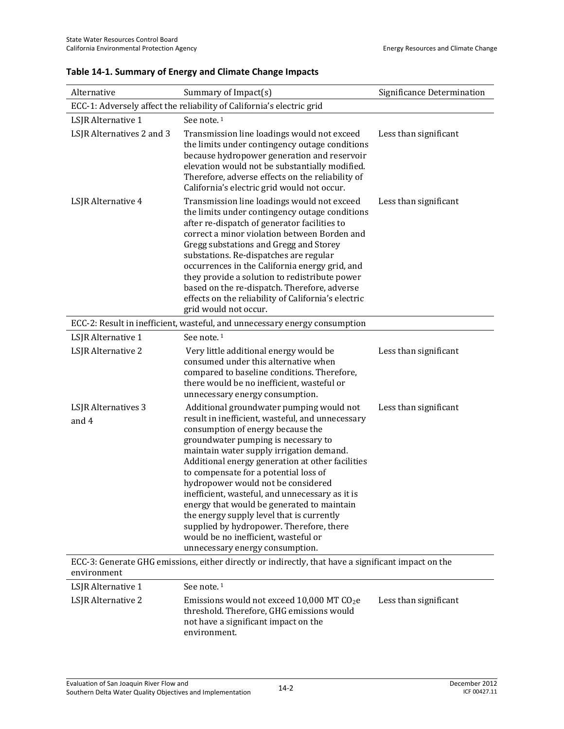| Alternative                  | Summary of Impact(s)                                                                                                                                                                                                                                                                                                                                                                                                                                                                                                                                                                                                         | Significance Determination |  |  |  |  |
|------------------------------|------------------------------------------------------------------------------------------------------------------------------------------------------------------------------------------------------------------------------------------------------------------------------------------------------------------------------------------------------------------------------------------------------------------------------------------------------------------------------------------------------------------------------------------------------------------------------------------------------------------------------|----------------------------|--|--|--|--|
|                              | ECC-1: Adversely affect the reliability of California's electric grid                                                                                                                                                                                                                                                                                                                                                                                                                                                                                                                                                        |                            |  |  |  |  |
| LSJR Alternative 1           | See note. <sup>1</sup>                                                                                                                                                                                                                                                                                                                                                                                                                                                                                                                                                                                                       |                            |  |  |  |  |
| LSJR Alternatives 2 and 3    | Transmission line loadings would not exceed<br>the limits under contingency outage conditions<br>because hydropower generation and reservoir<br>elevation would not be substantially modified.<br>Therefore, adverse effects on the reliability of<br>California's electric grid would not occur.                                                                                                                                                                                                                                                                                                                            | Less than significant      |  |  |  |  |
| LSJR Alternative 4           | Transmission line loadings would not exceed<br>the limits under contingency outage conditions<br>after re-dispatch of generator facilities to<br>correct a minor violation between Borden and<br>Gregg substations and Gregg and Storey<br>substations. Re-dispatches are regular<br>occurrences in the California energy grid, and<br>they provide a solution to redistribute power<br>based on the re-dispatch. Therefore, adverse<br>effects on the reliability of California's electric<br>grid would not occur.                                                                                                         | Less than significant      |  |  |  |  |
|                              | ECC-2: Result in inefficient, wasteful, and unnecessary energy consumption                                                                                                                                                                                                                                                                                                                                                                                                                                                                                                                                                   |                            |  |  |  |  |
| LSJR Alternative 1           | See note. <sup>1</sup>                                                                                                                                                                                                                                                                                                                                                                                                                                                                                                                                                                                                       |                            |  |  |  |  |
| LSJR Alternative 2           | Very little additional energy would be<br>consumed under this alternative when<br>compared to baseline conditions. Therefore,<br>there would be no inefficient, wasteful or<br>unnecessary energy consumption.                                                                                                                                                                                                                                                                                                                                                                                                               | Less than significant      |  |  |  |  |
| LSJR Alternatives 3<br>and 4 | Additional groundwater pumping would not<br>result in inefficient, wasteful, and unnecessary<br>consumption of energy because the<br>groundwater pumping is necessary to<br>maintain water supply irrigation demand.<br>Additional energy generation at other facilities<br>to compensate for a potential loss of<br>hydropower would not be considered<br>inefficient, wasteful, and unnecessary as it is<br>energy that would be generated to maintain<br>the energy supply level that is currently<br>supplied by hydropower. Therefore, there<br>would be no inefficient, wasteful or<br>unnecessary energy consumption. | Less than significant      |  |  |  |  |
| environment                  | ECC-3: Generate GHG emissions, either directly or indirectly, that have a significant impact on the                                                                                                                                                                                                                                                                                                                                                                                                                                                                                                                          |                            |  |  |  |  |
| LSJR Alternative 1           | See note. <sup>1</sup>                                                                                                                                                                                                                                                                                                                                                                                                                                                                                                                                                                                                       |                            |  |  |  |  |
| LSJR Alternative 2           | Emissions would not exceed 10,000 MT CO <sub>2</sub> e<br>threshold. Therefore, GHG emissions would<br>not have a significant impact on the<br>environment.                                                                                                                                                                                                                                                                                                                                                                                                                                                                  | Less than significant      |  |  |  |  |

#### **Table 14-1. Summary of Energy and Climate Change Impacts**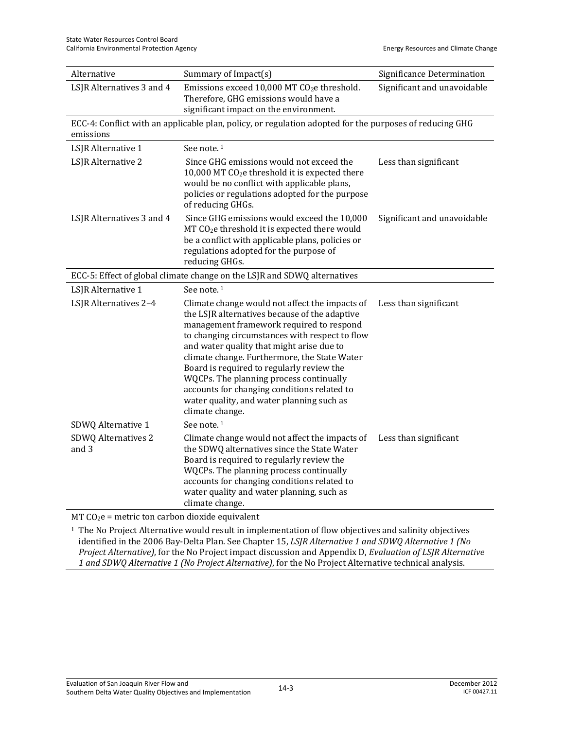| Alternative                                      | Summary of Impact(s)                                                                                                                                                                                                                                                                                                                                                                                                                                                                              | Significance Determination  |  |
|--------------------------------------------------|---------------------------------------------------------------------------------------------------------------------------------------------------------------------------------------------------------------------------------------------------------------------------------------------------------------------------------------------------------------------------------------------------------------------------------------------------------------------------------------------------|-----------------------------|--|
| LSJR Alternatives 3 and 4                        | Emissions exceed 10,000 MT CO <sub>2</sub> e threshold.<br>Therefore, GHG emissions would have a<br>significant impact on the environment.                                                                                                                                                                                                                                                                                                                                                        | Significant and unavoidable |  |
| emissions                                        | ECC-4: Conflict with an applicable plan, policy, or regulation adopted for the purposes of reducing GHG                                                                                                                                                                                                                                                                                                                                                                                           |                             |  |
| LSJR Alternative 1                               | See note. <sup>1</sup>                                                                                                                                                                                                                                                                                                                                                                                                                                                                            |                             |  |
| LSJR Alternative 2                               | Since GHG emissions would not exceed the<br>10,000 MT CO <sub>2</sub> e threshold it is expected there<br>would be no conflict with applicable plans,<br>policies or regulations adopted for the purpose<br>of reducing GHGs.                                                                                                                                                                                                                                                                     | Less than significant       |  |
| LSJR Alternatives 3 and 4                        | Since GHG emissions would exceed the 10,000<br>MT CO <sub>2</sub> e threshold it is expected there would<br>be a conflict with applicable plans, policies or<br>regulations adopted for the purpose of<br>reducing GHGs.                                                                                                                                                                                                                                                                          | Significant and unavoidable |  |
|                                                  | ECC-5: Effect of global climate change on the LSJR and SDWQ alternatives                                                                                                                                                                                                                                                                                                                                                                                                                          |                             |  |
| LSJR Alternative 1                               | See note. <sup>1</sup>                                                                                                                                                                                                                                                                                                                                                                                                                                                                            |                             |  |
| LSJR Alternatives 2-4                            | Climate change would not affect the impacts of<br>the LSJR alternatives because of the adaptive<br>management framework required to respond<br>to changing circumstances with respect to flow<br>and water quality that might arise due to<br>climate change. Furthermore, the State Water<br>Board is required to regularly review the<br>WQCPs. The planning process continually<br>accounts for changing conditions related to<br>water quality, and water planning such as<br>climate change. | Less than significant       |  |
| SDWQ Alternative 1                               | See note. <sup>1</sup>                                                                                                                                                                                                                                                                                                                                                                                                                                                                            |                             |  |
| SDWQ Alternatives 2<br>and 3                     | Climate change would not affect the impacts of<br>the SDWQ alternatives since the State Water<br>Board is required to regularly review the<br>WQCPs. The planning process continually<br>accounts for changing conditions related to<br>water quality and water planning, such as<br>climate change.                                                                                                                                                                                              | Less than significant       |  |
| $MT CO2e$ = metric ton carbon dioxide equivalent |                                                                                                                                                                                                                                                                                                                                                                                                                                                                                                   |                             |  |

1 The No Project Alternative would result in implementation of flow objectives and salinity objectives identified in the 2006 Bay-Delta Plan. See Chapter 15, *LSJR Alternative 1 and SDWQ Alternative 1 (No Project Alternative)*, for the No Project impact discussion and Appendix D, *Evaluation of LSJR Alternative 1 and SDWQ Alternative 1 (No Project Alternative)*, for the No Project Alternative technical analysis.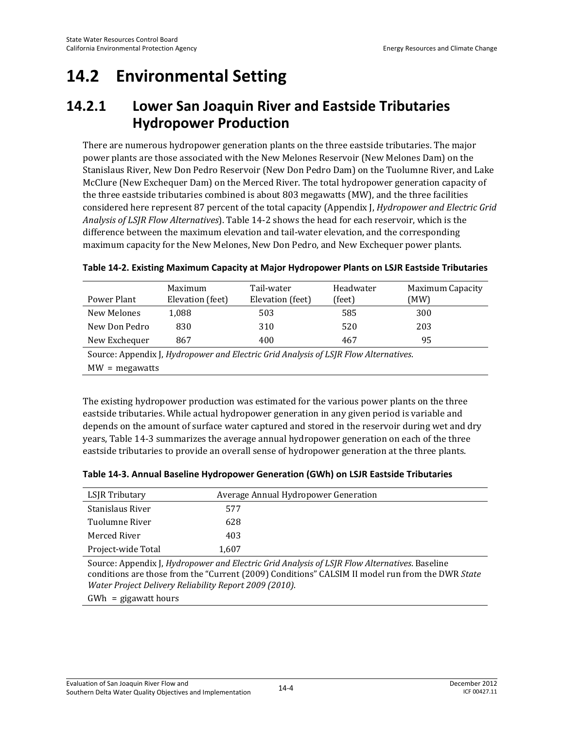# **14.2 Environmental Setting**

## **14.2.1 Lower San Joaquin River and Eastside Tributaries Hydropower Production**

There are numerous hydropower generation plants on the three eastside tributaries. The major power plants are those associated with the New Melones Reservoir (New Melones Dam) on the Stanislaus River, New Don Pedro Reservoir (New Don Pedro Dam) on the Tuolumne River, and Lake McClure (New Exchequer Dam) on the Merced River. The total hydropower generation capacity of the three eastside tributaries combined is about 803 megawatts (MW), and the three facilities considered here represent 87 percent of the total capacity (Appendix J, *Hydropower and Electric Grid Analysis of LSJR Flow Alternatives*). Table 14-2 shows the head for each reservoir, which is the difference between the maximum elevation and tail-water elevation, and the corresponding maximum capacity for the New Melones, New Don Pedro, and New Exchequer power plants.

| Power Plant                                                                          | Maximum<br>Elevation (feet) | Tail-water<br>Elevation (feet) | Headwater<br>(feet) | <b>Maximum Capacity</b><br>(MW) |
|--------------------------------------------------------------------------------------|-----------------------------|--------------------------------|---------------------|---------------------------------|
| New Melones                                                                          | 1,088                       | 503                            | 585                 | 300                             |
| New Don Pedro                                                                        | 830                         | 310                            | 520                 | 203                             |
| New Exchequer                                                                        | 867                         | 400                            | 467                 | 95                              |
| Source: Appendix J, Hydropower and Electric Grid Analysis of LSJR Flow Alternatives. |                             |                                |                     |                                 |

#### **Table 14-2. Existing Maximum Capacity at Major Hydropower Plants on LSJR Eastside Tributaries**

MW = megawatts

The existing hydropower production was estimated for the various power plants on the three eastside tributaries. While actual hydropower generation in any given period is variable and depends on the amount of surface water captured and stored in the reservoir during wet and dry years, Table 14-3 summarizes the average annual hydropower generation on each of the three eastside tributaries to provide an overall sense of hydropower generation at the three plants.

|  | Table 14-3. Annual Baseline Hydropower Generation (GWh) on LSJR Eastside Tributaries |  |  |
|--|--------------------------------------------------------------------------------------|--|--|
|--|--------------------------------------------------------------------------------------|--|--|

| LSJR Tributary     |       | Average Annual Hydropower Generation |
|--------------------|-------|--------------------------------------|
| Stanislaus River   | 577   |                                      |
| Tuolumne River     | 628   |                                      |
| Merced River       | 403   |                                      |
| Project-wide Total | 1,607 |                                      |

Source: Appendix J, *Hydropower and Electric Grid Analysis of LSJR Flow Alternatives*. Baseline conditions are those from the "Current (2009) Conditions" CALSIM II model run from the DWR *State Water Project Delivery Reliability Report 2009 (2010)*.

GWh = gigawatt hours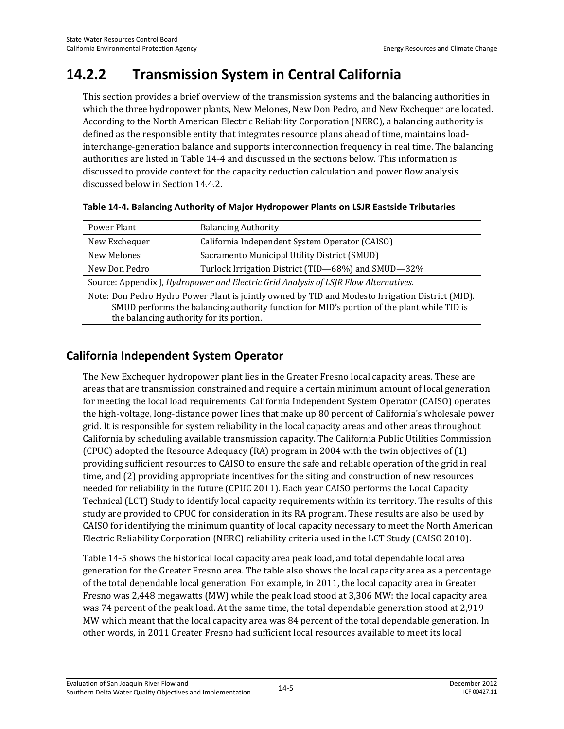# **14.2.2 Transmission System in Central California**

This section provides a brief overview of the transmission systems and the balancing authorities in which the three hydropower plants, New Melones, New Don Pedro, and New Exchequer are located. According to the North American Electric Reliability Corporation (NERC), a balancing authority is defined as the responsible entity that integrates resource plans ahead of time, maintains loadinterchange-generation balance and supports interconnection frequency in real time. The balancing authorities are listed in Table 14-4 and discussed in the sections below. This information is discussed to provide context for the capacity reduction calculation and power flow analysis discussed below in Section 14.4.2.

| Power Plant                                                                                                                                                                                                                                | <b>Balancing Authority</b>                         |  |  |
|--------------------------------------------------------------------------------------------------------------------------------------------------------------------------------------------------------------------------------------------|----------------------------------------------------|--|--|
| New Exchequer                                                                                                                                                                                                                              | California Independent System Operator (CAISO)     |  |  |
| New Melones                                                                                                                                                                                                                                | Sacramento Municipal Utility District (SMUD)       |  |  |
| New Don Pedro                                                                                                                                                                                                                              | Turlock Irrigation District (TID-68%) and SMUD-32% |  |  |
| Source: Appendix J, Hydropower and Electric Grid Analysis of LSJR Flow Alternatives.                                                                                                                                                       |                                                    |  |  |
| Note: Don Pedro Hydro Power Plant is jointly owned by TID and Modesto Irrigation District (MID).<br>SMUD performs the balancing authority function for MID's portion of the plant while TID is<br>the balancing authority for its portion. |                                                    |  |  |

## **California Independent System Operator**

The New Exchequer hydropower plant lies in the Greater Fresno local capacity areas. These are areas that are transmission constrained and require a certain minimum amount of local generation for meeting the local load requirements. California Independent System Operator (CAISO) operates the high-voltage, long-distance power lines that make up 80 percent of California's wholesale power grid. It is responsible for system reliability in the local capacity areas and other areas throughout California by scheduling available transmission capacity. The California Public Utilities Commission (CPUC) adopted the Resource Adequacy (RA) program in 2004 with the twin objectives of (1) providing sufficient resources to CAISO to ensure the safe and reliable operation of the grid in real time, and (2) providing appropriate incentives for the siting and construction of new resources needed for reliability in the future (CPUC 2011). Each year CAISO performs the Local Capacity Technical (LCT) Study to identify local capacity requirements within its territory. The results of this study are provided to CPUC for consideration in its RA program. These results are also be used by CAISO for identifying the minimum quantity of local capacity necessary to meet the North American Electric Reliability Corporation (NERC) reliability criteria used in the LCT Study (CAISO 2010).

Table 14-5 shows the historical local capacity area peak load, and total dependable local area generation for the Greater Fresno area. The table also shows the local capacity area as a percentage of the total dependable local generation. For example, in 2011, the local capacity area in Greater Fresno was 2,448 megawatts (MW) while the peak load stood at 3,306 MW: the local capacity area was 74 percent of the peak load. At the same time, the total dependable generation stood at 2,919 MW which meant that the local capacity area was 84 percent of the total dependable generation. In other words, in 2011 Greater Fresno had sufficient local resources available to meet its local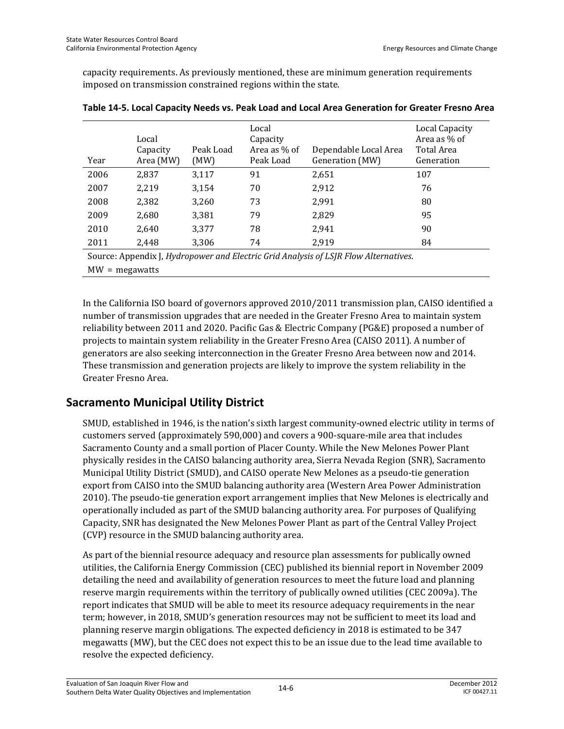capacity requirements. As previously mentioned, these are minimum generation requirements imposed on transmission constrained regions within the state.

| Year                                                                                 | Local<br>Capacity<br>Area (MW) | Peak Load<br>(MW) | Local<br>Capacity<br>Area as % of<br>Peak Load | Dependable Local Area<br>Generation (MW) | Local Capacity<br>Area as % of<br>Total Area<br>Generation |
|--------------------------------------------------------------------------------------|--------------------------------|-------------------|------------------------------------------------|------------------------------------------|------------------------------------------------------------|
| 2006                                                                                 | 2.837                          | 3,117             | 91                                             | 2,651                                    | 107                                                        |
| 2007                                                                                 | 2,219                          | 3,154             | 70                                             | 2,912                                    | 76                                                         |
| 2008                                                                                 | 2,382                          | 3,260             | 73                                             | 2,991                                    | 80                                                         |
| 2009                                                                                 | 2.680                          | 3.381             | 79                                             | 2,829                                    | 95                                                         |
| 2010                                                                                 | 2.640                          | 3.377             | 78                                             | 2.941                                    | 90                                                         |
| 2011                                                                                 | 2,448                          | 3,306             | 74                                             | 2,919                                    | 84                                                         |
| Source: Appendix J, Hydropower and Electric Grid Analysis of LSJR Flow Alternatives. |                                |                   |                                                |                                          |                                                            |
| $MW = megawatts$                                                                     |                                |                   |                                                |                                          |                                                            |

| Table 14-5. Local Capacity Needs vs. Peak Load and Local Area Generation for Greater Fresno Area |  |
|--------------------------------------------------------------------------------------------------|--|
|--------------------------------------------------------------------------------------------------|--|

In the California ISO board of governors approved 2010/2011 transmission plan, CAISO identified a number of transmission upgrades that are needed in the Greater Fresno Area to maintain system reliability between 2011 and 2020. Pacific Gas & Electric Company (PG&E) proposed a number of projects to maintain system reliability in the Greater Fresno Area (CAISO 2011). A number of generators are also seeking interconnection in the Greater Fresno Area between now and 2014. These transmission and generation projects are likely to improve the system reliability in the Greater Fresno Area.

## **Sacramento Municipal Utility District**

SMUD, established in 1946, is the nation's sixth largest community-owned electric utility in terms of customers served (approximately 590,000) and covers a 900-square-mile area that includes Sacramento County and a small portion of Placer County. While the New Melones Power Plant physically resides in the CAISO balancing authority area, Sierra Nevada Region (SNR), Sacramento Municipal Utility District (SMUD), and CAISO operate New Melones as a pseudo-tie generation export from CAISO into the SMUD balancing authority area (Western Area Power Administration 2010). The pseudo-tie generation export arrangement implies that New Melones is electrically and operationally included as part of the SMUD balancing authority area. For purposes of Qualifying Capacity, SNR has designated the New Melones Power Plant as part of the Central Valley Project (CVP) resource in the SMUD balancing authority area.

As part of the biennial resource adequacy and resource plan assessments for publically owned utilities, the California Energy Commission (CEC) published its biennial report in November 2009 detailing the need and availability of generation resources to meet the future load and planning reserve margin requirements within the territory of publically owned utilities (CEC 2009a). The report indicates that SMUD will be able to meet its resource adequacy requirements in the near term; however, in 2018, SMUD's generation resources may not be sufficient to meet its load and planning reserve margin obligations. The expected deficiency in 2018 is estimated to be 347 megawatts (MW), but the CEC does not expect this to be an issue due to the lead time available to resolve the expected deficiency.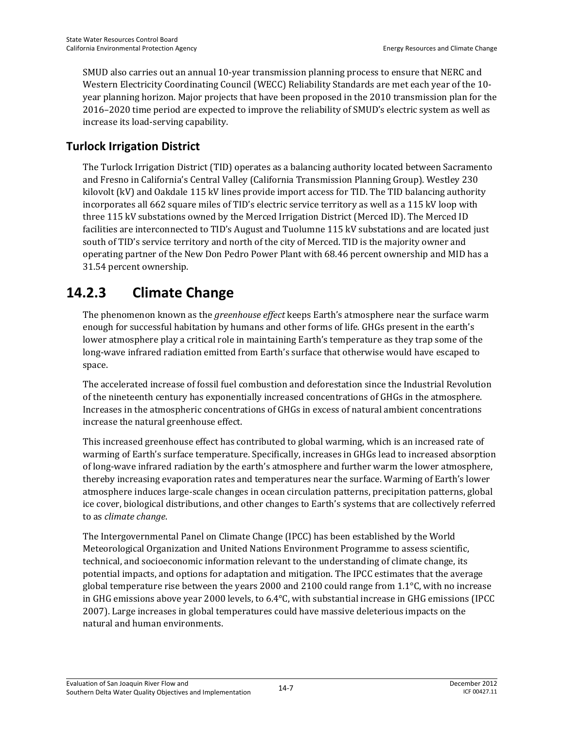SMUD also carries out an annual 10-year transmission planning process to ensure that NERC and Western Electricity Coordinating Council (WECC) Reliability Standards are met each year of the 10 year planning horizon. Major projects that have been proposed in the 2010 transmission plan for the 2016–2020 time period are expected to improve the reliability of SMUD's electric system as well as increase its load-serving capability.

## **Turlock Irrigation District**

The Turlock Irrigation District (TID) operates as a balancing authority located between Sacramento and Fresno in California's Central Valley (California Transmission Planning Group). Westley 230 kilovolt (kV) and Oakdale 115 kV lines provide import access for TID. The TID balancing authority incorporates all 662 square miles of TID's electric service territory as well as a 115 kV loop with three 115 kV substations owned by the Merced Irrigation District (Merced ID). The Merced ID facilities are interconnected to TID's August and Tuolumne 115 kV substations and are located just south of TID's service territory and north of the city of Merced. TID is the majority owner and operating partner of the New Don Pedro Power Plant with 68.46 percent ownership and MID has a 31.54 percent ownership.

# **14.2.3 Climate Change**

The phenomenon known as the *greenhouse effect* keeps Earth's atmosphere near the surface warm enough for successful habitation by humans and other forms of life. GHGs present in the earth's lower atmosphere play a critical role in maintaining Earth's temperature as they trap some of the long-wave infrared radiation emitted from Earth's surface that otherwise would have escaped to space.

The accelerated increase of fossil fuel combustion and deforestation since the Industrial Revolution of the nineteenth century has exponentially increased concentrations of GHGs in the atmosphere. Increases in the atmospheric concentrations of GHGs in excess of natural ambient concentrations increase the natural greenhouse effect.

This increased greenhouse effect has contributed to global warming, which is an increased rate of warming of Earth's surface temperature. Specifically, increases in GHGs lead to increased absorption of long-wave infrared radiation by the earth's atmosphere and further warm the lower atmosphere, thereby increasing evaporation rates and temperatures near the surface. Warming of Earth's lower atmosphere induces large-scale changes in ocean circulation patterns, precipitation patterns, global ice cover, biological distributions, and other changes to Earth's systems that are collectively referred to as *climate change*.

The Intergovernmental Panel on Climate Change (IPCC) has been established by the World Meteorological Organization and United Nations Environment Programme to assess scientific, technical, and socioeconomic information relevant to the understanding of climate change, its potential impacts, and options for adaptation and mitigation. The IPCC estimates that the average global temperature rise between the years 2000 and 2100 could range from  $1.1^{\circ}$ C, with no increase in GHG emissions above year 2000 levels, to 6.4°C, with substantial increase in GHG emissions (IPCC 2007). Large increases in global temperatures could have massive deleterious impacts on the natural and human environments.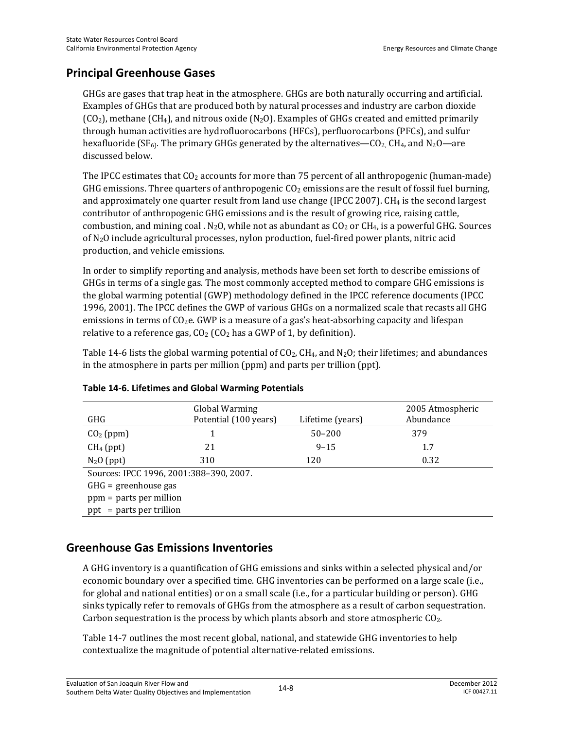## **Principal Greenhouse Gases**

GHGs are gases that trap heat in the atmosphere. GHGs are both naturally occurring and artificial. Examples of GHGs that are produced both by natural processes and industry are carbon dioxide  $(CO<sub>2</sub>)$ , methane  $(CH<sub>4</sub>)$ , and nitrous oxide  $(N<sub>2</sub>O)$ . Examples of GHGs created and emitted primarily through human activities are hydrofluorocarbons (HFCs), perfluorocarbons (PFCs), and sulfur hexafluoride (SF<sub>6</sub>). The primary GHGs generated by the alternatives—CO<sub>2</sub>, CH<sub>4</sub>, and N<sub>2</sub>O—are discussed below.

The IPCC estimates that  $CO<sub>2</sub>$  accounts for more than 75 percent of all anthropogenic (human-made) GHG emissions. Three quarters of anthropogenic  $CO<sub>2</sub>$  emissions are the result of fossil fuel burning, and approximately one quarter result from land use change (IPCC 2007).  $CH<sub>4</sub>$  is the second largest contributor of anthropogenic GHG emissions and is the result of growing rice, raising cattle, combustion, and mining coal . N<sub>2</sub>O, while not as abundant as  $CO<sub>2</sub>$  or  $CH<sub>4</sub>$ , is a powerful GHG. Sources of N2O include agricultural processes, nylon production, fuel-fired power plants, nitric acid production, and vehicle emissions.

In order to simplify reporting and analysis, methods have been set forth to describe emissions of GHGs in terms of a single gas. The most commonly accepted method to compare GHG emissions is the global warming potential (GWP) methodology defined in the IPCC reference documents (IPCC 1996, 2001). The IPCC defines the GWP of various GHGs on a normalized scale that recasts all GHG emissions in terms of  $CO<sub>2</sub>e$ . GWP is a measure of a gas's heat-absorbing capacity and lifespan relative to a reference gas,  $CO<sub>2</sub> (CO<sub>2</sub>$  has a GWP of 1, by definition).

Table 14-6 lists the global warming potential of  $CO<sub>2</sub>$ , CH<sub>4</sub>, and N<sub>2</sub>O; their lifetimes; and abundances in the atmosphere in parts per million (ppm) and parts per trillion (ppt).

| <b>GHG</b>                              | Global Warming<br>Potential (100 years) | Lifetime (years) | 2005 Atmospheric<br>Abundance |  |
|-----------------------------------------|-----------------------------------------|------------------|-------------------------------|--|
| $CO2$ (ppm)                             |                                         | $50 - 200$       | 379                           |  |
| $CH4$ (ppt)                             | 21                                      | $9 - 15$         | 1.7                           |  |
| $N_2O$ (ppt)                            | 310                                     | 120              | 0.32                          |  |
| Sources: IPCC 1996, 2001:388-390, 2007. |                                         |                  |                               |  |
| $GHG =$ greenhouse gas                  |                                         |                  |                               |  |
| $ppm =$ parts per million               |                                         |                  |                               |  |
| $ppt = parts per trillion$              |                                         |                  |                               |  |

#### **Table 14-6. Lifetimes and Global Warming Potentials**

## **Greenhouse Gas Emissions Inventories**

A GHG inventory is a quantification of GHG emissions and sinks within a selected physical and/or economic boundary over a specified time. GHG inventories can be performed on a large scale (i.e., for global and national entities) or on a small scale (i.e., for a particular building or person). GHG sinks typically refer to removals of GHGs from the atmosphere as a result of carbon sequestration. Carbon sequestration is the process by which plants absorb and store atmospheric CO<sub>2</sub>.

Table 14-7 outlines the most recent global, national, and statewide GHG inventories to help contextualize the magnitude of potential alternative-related emissions.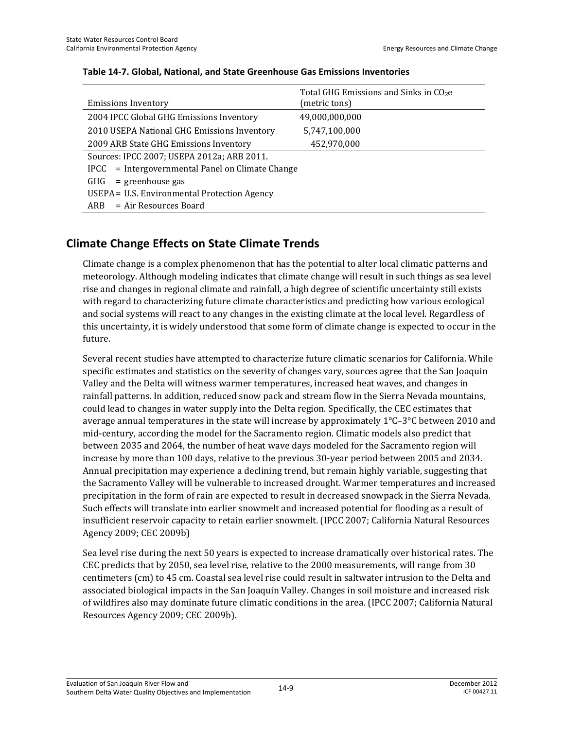| <b>Emissions Inventory</b>                       | Total GHG Emissions and Sinks in $CO2e$<br>(metric tons) |  |  |
|--------------------------------------------------|----------------------------------------------------------|--|--|
| 2004 IPCC Global GHG Emissions Inventory         | 49,000,000,000                                           |  |  |
| 2010 USEPA National GHG Emissions Inventory      | 5,747,100,000                                            |  |  |
| 2009 ARB State GHG Emissions Inventory           | 452,970,000                                              |  |  |
| Sources: IPCC 2007; USEPA 2012a; ARB 2011.       |                                                          |  |  |
| IPCC = Intergovernmental Panel on Climate Change |                                                          |  |  |
| $=$ greenhouse gas<br>GHG                        |                                                          |  |  |
| USEPA = U.S. Environmental Protection Agency     |                                                          |  |  |
| = Air Resources Board<br>ARB                     |                                                          |  |  |

#### **Table 14-7. Global, National, and State Greenhouse Gas Emissions Inventories**

### **Climate Change Effects on State Climate Trends**

Climate change is a complex phenomenon that has the potential to alter local climatic patterns and meteorology. Although modeling indicates that climate change will result in such things as sea level rise and changes in regional climate and rainfall, a high degree of scientific uncertainty still exists with regard to characterizing future climate characteristics and predicting how various ecological and social systems will react to any changes in the existing climate at the local level. Regardless of this uncertainty, it is widely understood that some form of climate change is expected to occur in the future.

Several recent studies have attempted to characterize future climatic scenarios for California. While specific estimates and statistics on the severity of changes vary, sources agree that the San Joaquin Valley and the Delta will witness warmer temperatures, increased heat waves, and changes in rainfall patterns. In addition, reduced snow pack and stream flow in the Sierra Nevada mountains, could lead to changes in water supply into the Delta region. Specifically, the CEC estimates that average annual temperatures in the state will increase by approximately  $1^{\circ}$ C–3 $^{\circ}$ C between 2010 and mid-century, according the model for the Sacramento region. Climatic models also predict that between 2035 and 2064, the number of heat wave days modeled for the Sacramento region will increase by more than 100 days, relative to the previous 30-year period between 2005 and 2034. Annual precipitation may experience a declining trend, but remain highly variable, suggesting that the Sacramento Valley will be vulnerable to increased drought. Warmer temperatures and increased precipitation in the form of rain are expected to result in decreased snowpack in the Sierra Nevada. Such effects will translate into earlier snowmelt and increased potential for flooding as a result of insufficient reservoir capacity to retain earlier snowmelt. (IPCC 2007; California Natural Resources Agency 2009; CEC 2009b)

Sea level rise during the next 50 years is expected to increase dramatically over historical rates. The CEC predicts that by 2050, sea level rise, relative to the 2000 measurements, will range from 30 centimeters (cm) to 45 cm. Coastal sea level rise could result in saltwater intrusion to the Delta and associated biological impacts in the San Joaquin Valley. Changes in soil moisture and increased risk of wildfires also may dominate future climatic conditions in the area. (IPCC 2007; California Natural Resources Agency 2009; CEC 2009b).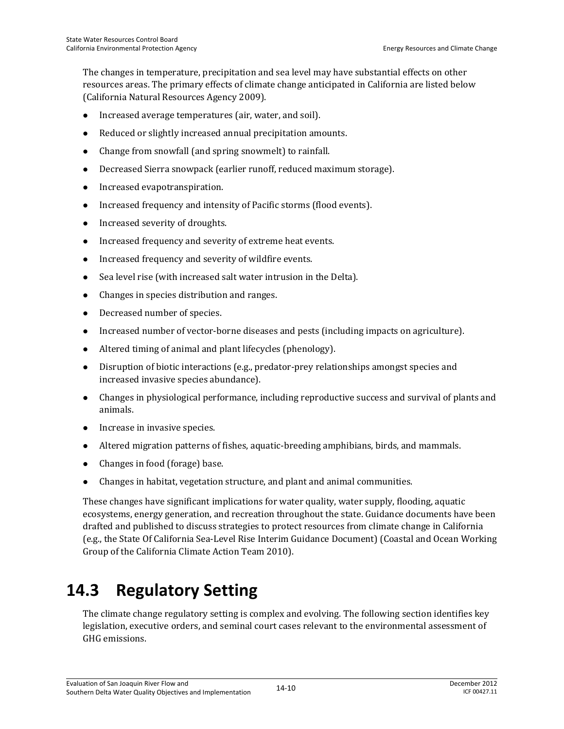The changes in temperature, precipitation and sea level may have substantial effects on other resources areas. The primary effects of climate change anticipated in California are listed below (California Natural Resources Agency 2009).

- Increased average temperatures (air, water, and soil).
- Reduced or slightly increased annual precipitation amounts.
- Change from snowfall (and spring snowmelt) to rainfall.
- Decreased Sierra snowpack (earlier runoff, reduced maximum storage).
- Increased evapotranspiration.
- Increased frequency and intensity of Pacific storms (flood events).
- Increased severity of droughts.
- Increased frequency and severity of extreme heat events.
- Increased frequency and severity of wildfire events.
- Sea level rise (with increased salt water intrusion in the Delta).
- Changes in species distribution and ranges.
- Decreased number of species.
- Increased number of vector-borne diseases and pests (including impacts on agriculture).
- Altered timing of animal and plant lifecycles (phenology).
- Disruption of biotic interactions (e.g., predator-prey relationships amongst species and increased invasive species abundance).
- Changes in physiological performance, including reproductive success and survival of plants and animals.
- Increase in invasive species.
- Altered migration patterns of fishes, aquatic-breeding amphibians, birds, and mammals.
- Changes in food (forage) base.
- Changes in habitat, vegetation structure, and plant and animal communities.

These changes have significant implications for water quality, water supply, flooding, aquatic ecosystems, energy generation, and recreation throughout the state. Guidance documents have been drafted and published to discuss strategies to protect resources from climate change in California (e.g., the State Of California Sea-Level Rise Interim Guidance Document) (Coastal and Ocean Working Group of the California Climate Action Team 2010).

# **14.3 Regulatory Setting**

The climate change regulatory setting is complex and evolving. The following section identifies key legislation, executive orders, and seminal court cases relevant to the environmental assessment of GHG emissions.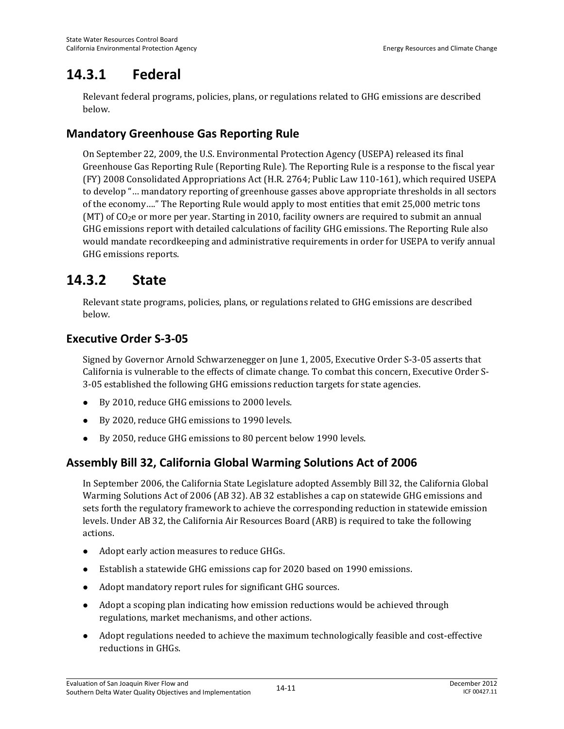# **14.3.1 Federal**

Relevant federal programs, policies, plans, or regulations related to GHG emissions are described below.

## **Mandatory Greenhouse Gas Reporting Rule**

On September 22, 2009, the U.S. Environmental Protection Agency (USEPA) released its final Greenhouse Gas Reporting Rule (Reporting Rule). The Reporting Rule is a response to the fiscal year (FY) 2008 Consolidated Appropriations Act (H.R. 2764; Public Law 110-161), which required USEPA to develop "… mandatory reporting of greenhouse gasses above appropriate thresholds in all sectors of the economy…." The Reporting Rule would apply to most entities that emit 25,000 metric tons (MT) of CO2e or more per year. Starting in 2010, facility owners are required to submit an annual GHG emissions report with detailed calculations of facility GHG emissions. The Reporting Rule also would mandate recordkeeping and administrative requirements in order for USEPA to verify annual GHG emissions reports.

## **14.3.2 State**

Relevant state programs, policies, plans, or regulations related to GHG emissions are described below.

## **Executive Order S-3-05**

Signed by Governor Arnold Schwarzenegger on June 1, 2005, Executive Order S-3-05 asserts that California is vulnerable to the effects of climate change. To combat this concern, Executive Order S-3-05 established the following GHG emissions reduction targets for state agencies.

- By 2010, reduce GHG emissions to 2000 levels.
- By 2020, reduce GHG emissions to 1990 levels.
- By 2050, reduce GHG emissions to 80 percent below 1990 levels.

## **Assembly Bill 32, California Global Warming Solutions Act of 2006**

In September 2006, the California State Legislature adopted Assembly Bill 32, the California Global Warming Solutions Act of 2006 (AB 32). AB 32 establishes a cap on statewide GHG emissions and sets forth the regulatory framework to achieve the corresponding reduction in statewide emission levels. Under AB 32, the California Air Resources Board (ARB) is required to take the following actions.

- Adopt early action measures to reduce GHGs.
- Establish a statewide GHG emissions cap for 2020 based on 1990 emissions.
- Adopt mandatory report rules for significant GHG sources.
- Adopt a scoping plan indicating how emission reductions would be achieved through regulations, market mechanisms, and other actions.
- Adopt regulations needed to achieve the maximum technologically feasible and cost-effective reductions in GHGs.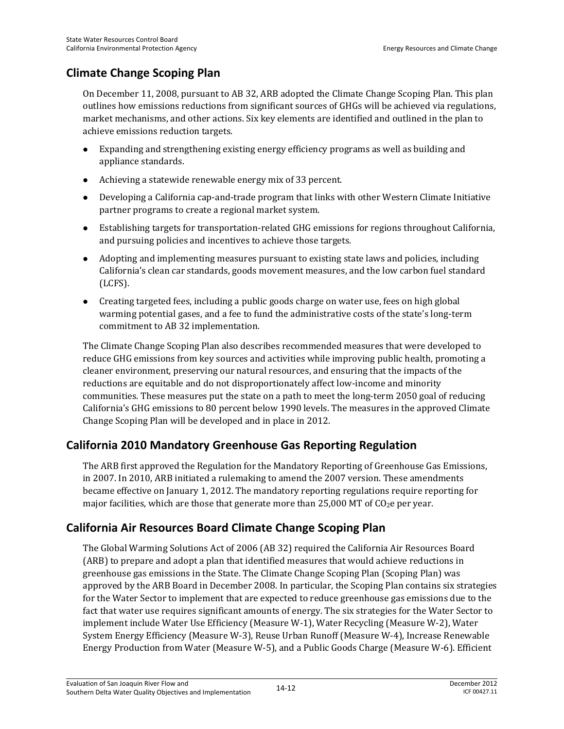## **Climate Change Scoping Plan**

On December 11, 2008, pursuant to AB 32, ARB adopted the Climate Change Scoping Plan. This plan outlines how emissions reductions from significant sources of GHGs will be achieved via regulations, market mechanisms, and other actions. Six key elements are identified and outlined in the plan to achieve emissions reduction targets.

- Expanding and strengthening existing energy efficiency programs as well as building and appliance standards.
- Achieving a statewide renewable energy mix of 33 percent.
- Developing a California cap-and-trade program that links with other Western Climate Initiative partner programs to create a regional market system.
- Establishing targets for transportation-related GHG emissions for regions throughout California, and pursuing policies and incentives to achieve those targets.
- Adopting and implementing measures pursuant to existing state laws and policies, including California's clean car standards, goods movement measures, and the low carbon fuel standard (LCFS).
- Creating targeted fees, including a public goods charge on water use, fees on high global warming potential gases, and a fee to fund the administrative costs of the state's long-term commitment to AB 32 implementation.

The Climate Change Scoping Plan also describes recommended measures that were developed to reduce GHG emissions from key sources and activities while improving public health, promoting a cleaner environment, preserving our natural resources, and ensuring that the impacts of the reductions are equitable and do not disproportionately affect low-income and minority communities. These measures put the state on a path to meet the long-term 2050 goal of reducing California's GHG emissions to 80 percent below 1990 levels. The measures in the approved Climate Change Scoping Plan will be developed and in place in 2012.

## **California 2010 Mandatory Greenhouse Gas Reporting Regulation**

The ARB first approved the Regulation for the Mandatory Reporting of Greenhouse Gas Emissions, in 2007. In 2010, ARB initiated a rulemaking to amend the 2007 version. These amendments became effective on January 1, 2012. The mandatory reporting regulations require reporting for major facilities, which are those that generate more than 25,000 MT of  $CO<sub>2</sub>e$  per year.

## **California Air Resources Board Climate Change Scoping Plan**

The Global Warming Solutions Act of 2006 (AB 32) required the California Air Resources Board (ARB) to prepare and adopt a plan that identified measures that would achieve reductions in greenhouse gas emissions in the State. The Climate Change Scoping Plan (Scoping Plan) was approved by the ARB Board in December 2008. In particular, the Scoping Plan contains six strategies for the Water Sector to implement that are expected to reduce greenhouse gas emissions due to the fact that water use requires significant amounts of energy. The six strategies for the Water Sector to implement include Water Use Efficiency (Measure W-1), Water Recycling (Measure W-2), Water System Energy Efficiency (Measure W-3), Reuse Urban Runoff (Measure W-4), Increase Renewable Energy Production from Water (Measure W-5), and a Public Goods Charge (Measure W-6). Efficient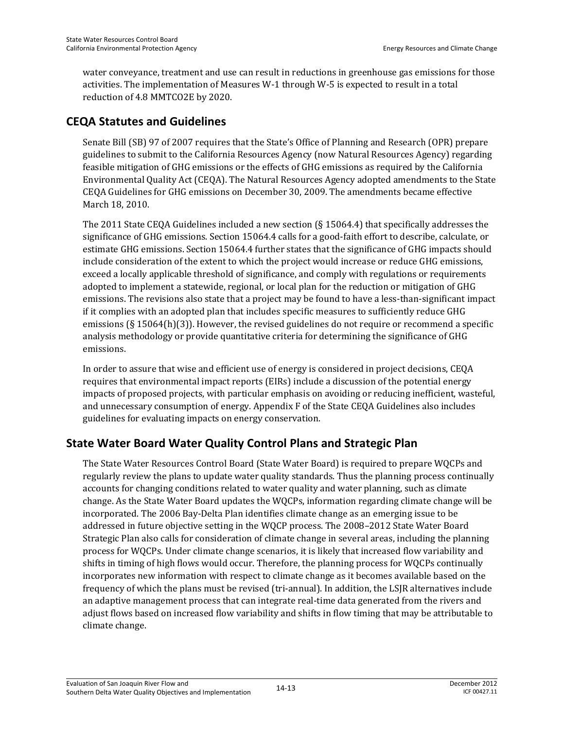water conveyance, treatment and use can result in reductions in greenhouse gas emissions for those activities. The implementation of Measures W-1 through W-5 is expected to result in a total reduction of 4.8 MMTCO2E by 2020.

## **CEQA Statutes and Guidelines**

Senate Bill (SB) 97 of 2007 requires that the State's Office of Planning and Research (OPR) prepare guidelines to submit to the California Resources Agency (now Natural Resources Agency) regarding feasible mitigation of GHG emissions or the effects of GHG emissions as required by the California Environmental Quality Act (CEQA). The Natural Resources Agency adopted amendments to the State CEQA Guidelines for GHG emissions on December 30, 2009. The amendments became effective March 18, 2010.

The 2011 State CEQA Guidelines included a new section (§ 15064.4) that specifically addresses the significance of GHG emissions. Section 15064.4 calls for a good-faith effort to describe, calculate, or estimate GHG emissions. Section 15064.4 further states that the significance of GHG impacts should include consideration of the extent to which the project would increase or reduce GHG emissions, exceed a locally applicable threshold of significance, and comply with regulations or requirements adopted to implement a statewide, regional, or local plan for the reduction or mitigation of GHG emissions. The revisions also state that a project may be found to have a less-than-significant impact if it complies with an adopted plan that includes specific measures to sufficiently reduce GHG emissions ( $\S$  15064(h)(3)). However, the revised guidelines do not require or recommend a specific analysis methodology or provide quantitative criteria for determining the significance of GHG emissions.

In order to assure that wise and efficient use of energy is considered in project decisions, CEQA requires that environmental impact reports (EIRs) include a discussion of the potential energy impacts of proposed projects, with particular emphasis on avoiding or reducing inefficient, wasteful, and unnecessary consumption of energy. Appendix F of the State CEQA Guidelines also includes guidelines for evaluating impacts on energy conservation.

## **State Water Board Water Quality Control Plans and Strategic Plan**

The State Water Resources Control Board (State Water Board) is required to prepare WQCPs and regularly review the plans to update water quality standards. Thus the planning process continually accounts for changing conditions related to water quality and water planning, such as climate change. As the State Water Board updates the WQCPs, information regarding climate change will be incorporated. The 2006 Bay-Delta Plan identifies climate change as an emerging issue to be addressed in future objective setting in the WQCP process. The 2008–2012 State Water Board Strategic Plan also calls for consideration of climate change in several areas, including the planning process for WQCPs. Under climate change scenarios, it is likely that increased flow variability and shifts in timing of high flows would occur. Therefore, the planning process for WQCPs continually incorporates new information with respect to climate change as it becomes available based on the frequency of which the plans must be revised (tri-annual). In addition, the LSJR alternatives include an adaptive management process that can integrate real-time data generated from the rivers and adjust flows based on increased flow variability and shifts in flow timing that may be attributable to climate change.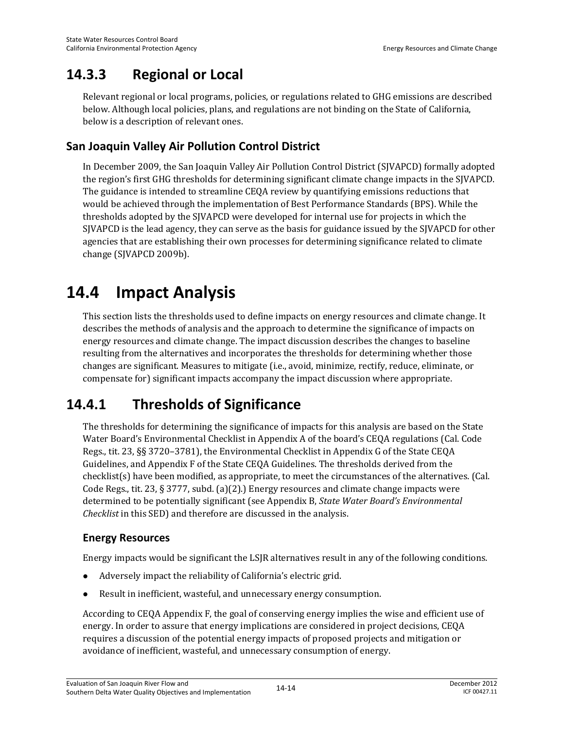# **14.3.3 Regional or Local**

Relevant regional or local programs, policies, or regulations related to GHG emissions are described below. Although local policies, plans, and regulations are not binding on the State of California, below is a description of relevant ones.

## **San Joaquin Valley Air Pollution Control District**

In December 2009, the San Joaquin Valley Air Pollution Control District (SJVAPCD) formally adopted the region's first GHG thresholds for determining significant climate change impacts in the SJVAPCD. The guidance is intended to streamline CEQA review by quantifying emissions reductions that would be achieved through the implementation of Best Performance Standards (BPS). While the thresholds adopted by the SJVAPCD were developed for internal use for projects in which the SJVAPCD is the lead agency, they can serve as the basis for guidance issued by the SJVAPCD for other agencies that are establishing their own processes for determining significance related to climate change (SJVAPCD 2009b).

# **14.4 Impact Analysis**

This section lists the thresholds used to define impacts on energy resources and climate change. It describes the methods of analysis and the approach to determine the significance of impacts on energy resources and climate change. The impact discussion describes the changes to baseline resulting from the alternatives and incorporates the thresholds for determining whether those changes are significant. Measures to mitigate (i.e., avoid, minimize, rectify, reduce, eliminate, or compensate for) significant impacts accompany the impact discussion where appropriate.

# **14.4.1 Thresholds of Significance**

The thresholds for determining the significance of impacts for this analysis are based on the State Water Board's Environmental Checklist in Appendix A of the board's CEQA regulations (Cal. Code Regs., tit. 23, §§ 3720–3781), the Environmental Checklist in Appendix G of the State CEQA Guidelines, and Appendix F of the State CEQA Guidelines. The thresholds derived from the checklist(s) have been modified, as appropriate, to meet the circumstances of the alternatives. (Cal. Code Regs., tit. 23, § 3777, subd. (a)(2).) Energy resources and climate change impacts were determined to be potentially significant (see Appendix B, *State Water Board's Environmental Checklist* in this SED) and therefore are discussed in the analysis.

### **Energy Resources**

Energy impacts would be significant the LSJR alternatives result in any of the following conditions.

- Adversely impact the reliability of California's electric grid.
- Result in inefficient, wasteful, and unnecessary energy consumption.

According to CEQA Appendix F, the goal of conserving energy implies the wise and efficient use of energy. In order to assure that energy implications are considered in project decisions, CEQA requires a discussion of the potential energy impacts of proposed projects and mitigation or avoidance of inefficient, wasteful, and unnecessary consumption of energy.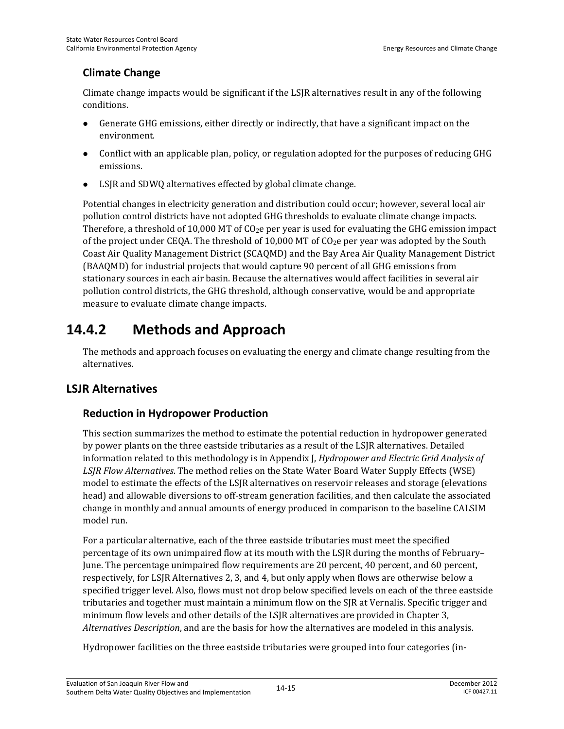## **Climate Change**

Climate change impacts would be significant if the LSJR alternatives result in any of the following conditions.

- Generate GHG emissions, either directly or indirectly, that have a significant impact on the environment.
- Conflict with an applicable plan, policy, or regulation adopted for the purposes of reducing GHG emissions.
- LSJR and SDWQ alternatives effected by global climate change.

Potential changes in electricity generation and distribution could occur; however, several local air pollution control districts have not adopted GHG thresholds to evaluate climate change impacts. Therefore, a threshold of 10,000 MT of  $CO<sub>2</sub>e$  per year is used for evaluating the GHG emission impact of the project under CEQA. The threshold of 10,000 MT of  $CO<sub>2</sub>e$  per year was adopted by the South Coast Air Quality Management District (SCAQMD) and the Bay Area Air Quality Management District (BAAQMD) for industrial projects that would capture 90 percent of all GHG emissions from stationary sources in each air basin. Because the alternatives would affect facilities in several air pollution control districts, the GHG threshold, although conservative, would be and appropriate measure to evaluate climate change impacts.

# **14.4.2 Methods and Approach**

The methods and approach focuses on evaluating the energy and climate change resulting from the alternatives.

## **LSJR Alternatives**

## **Reduction in Hydropower Production**

This section summarizes the method to estimate the potential reduction in hydropower generated by power plants on the three eastside tributaries as a result of the LSJR alternatives. Detailed information related to this methodology is in Appendix J, *Hydropower and Electric Grid Analysis of LSJR Flow Alternatives*. The method relies on the State Water Board Water Supply Effects (WSE) model to estimate the effects of the LSJR alternatives on reservoir releases and storage (elevations head) and allowable diversions to off-stream generation facilities, and then calculate the associated change in monthly and annual amounts of energy produced in comparison to the baseline CALSIM model run.

For a particular alternative, each of the three eastside tributaries must meet the specified percentage of its own unimpaired flow at its mouth with the LSJR during the months of February– June. The percentage unimpaired flow requirements are 20 percent, 40 percent, and 60 percent, respectively, for LSJR Alternatives 2, 3, and 4, but only apply when flows are otherwise below a specified trigger level. Also, flows must not drop below specified levels on each of the three eastside tributaries and together must maintain a minimum flow on the SJR at Vernalis. Specific trigger and minimum flow levels and other details of the LSJR alternatives are provided in Chapter 3, *Alternatives Description*, and are the basis for how the alternatives are modeled in this analysis.

Hydropower facilities on the three eastside tributaries were grouped into four categories (in-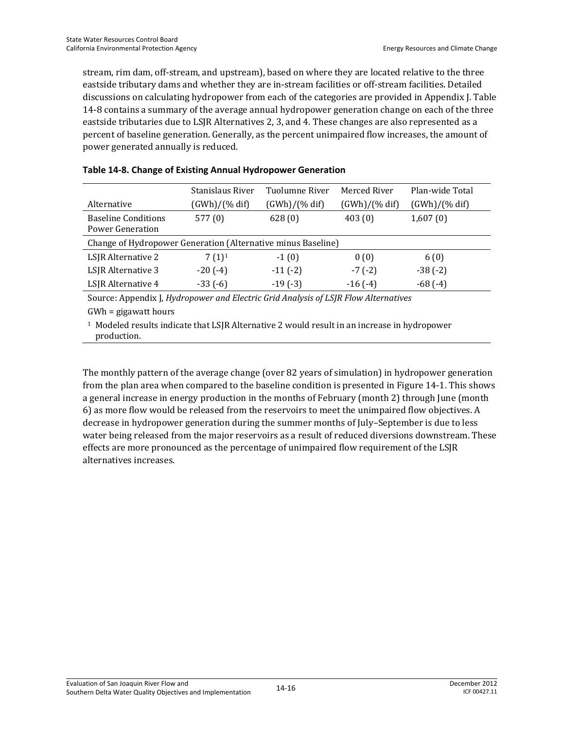stream, rim dam, off-stream, and upstream), based on where they are located relative to the three eastside tributary dams and whether they are in-stream facilities or off-stream facilities. Detailed discussions on calculating hydropower from each of the categories are provided in Appendix J. Table 14-8 contains a summary of the average annual hydropower generation change on each of the three eastside tributaries due to LSJR Alternatives 2, 3, and 4. These changes are also represented as a percent of baseline generation. Generally, as the percent unimpaired flow increases, the amount of power generated annually is reduced.

|                                                                                                                                                                                                                                 | Stanislaus River | Tuolumne River | Merced River  | Plan-wide Total |
|---------------------------------------------------------------------------------------------------------------------------------------------------------------------------------------------------------------------------------|------------------|----------------|---------------|-----------------|
| Alternative                                                                                                                                                                                                                     | (GWh)/(% dif)    | (GWh)/(% dif)  | (GWh)/(% dif) | (GWh)/(% dif)   |
| <b>Baseline Conditions</b><br>Power Generation                                                                                                                                                                                  | 577(0)           | 628(0)         | 403(0)        | 1,607(0)        |
| Change of Hydropower Generation (Alternative minus Baseline)                                                                                                                                                                    |                  |                |               |                 |
| LSJR Alternative 2                                                                                                                                                                                                              | $7(1)^1$         | $-1(0)$        | 0(0)          | 6(0)            |
| LSJR Alternative 3                                                                                                                                                                                                              | $-20(-4)$        | $-11(-2)$      | $-7(-2)$      | $-38(-2)$       |
| LSJR Alternative 4                                                                                                                                                                                                              | $-33(-6)$        | $-19(-3)$      | $-16(-4)$     | $-68(-4)$       |
| $C = A$ iiii iiiii iin iselahistori alam sebagai di sebagai di sebagai di sebagai di sebagai di sebagai di sebagai di sebagai di sebagai di sebagai di sebagai di sebagai di sebagai di sebagai di sebagai di sebagai di sebaga |                  |                |               |                 |

#### **Table 14-8. Change of Existing Annual Hydropower Generation**

Source: Appendix J, *Hydropower and Electric Grid Analysis of LSJR Flow Alternatives*

GWh = gigawatt hours

<sup>1</sup> Modeled results indicate that LSJR Alternative 2 would result in an increase in hydropower production.

The monthly pattern of the average change (over 82 years of simulation) in hydropower generation from the plan area when compared to the baseline condition is presented in Figure 14-1. This shows a general increase in energy production in the months of February (month 2) through June (month 6) as more flow would be released from the reservoirs to meet the unimpaired flow objectives. A decrease in hydropower generation during the summer months of July–September is due to less water being released from the major reservoirs as a result of reduced diversions downstream. These effects are more pronounced as the percentage of unimpaired flow requirement of the LSJR alternatives increases.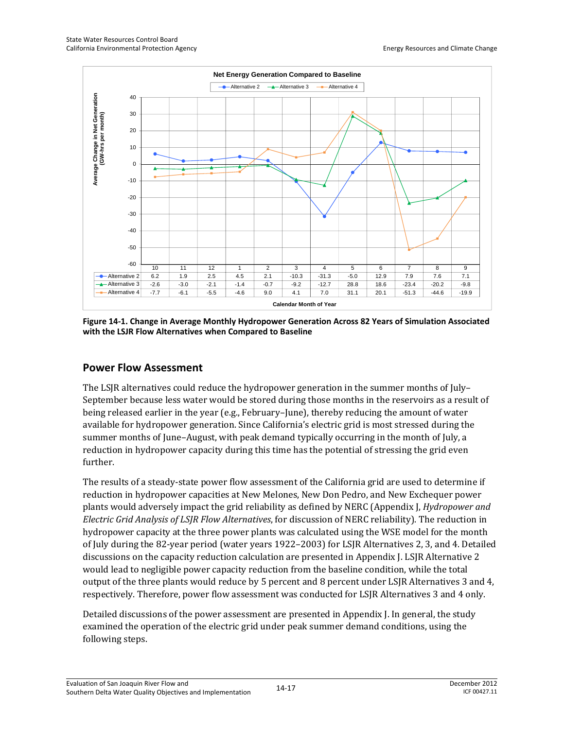

**Figure 14-1. Change in Average Monthly Hydropower Generation Across 82 Years of Simulation Associated with the LSJR Flow Alternatives when Compared to Baseline** 

#### **Power Flow Assessment**

The LSJR alternatives could reduce the hydropower generation in the summer months of July– September because less water would be stored during those months in the reservoirs as a result of being released earlier in the year (e.g., February–June), thereby reducing the amount of water available for hydropower generation. Since California's electric grid is most stressed during the summer months of June–August, with peak demand typically occurring in the month of July, a reduction in hydropower capacity during this time has the potential of stressing the grid even further.

The results of a steady-state power flow assessment of the California grid are used to determine if reduction in hydropower capacities at New Melones, New Don Pedro, and New Exchequer power plants would adversely impact the grid reliability as defined by NERC (Appendix J, *Hydropower and Electric Grid Analysis of LSJR Flow Alternatives*, for discussion of NERC reliability). The reduction in hydropower capacity at the three power plants was calculated using the WSE model for the month of July during the 82-year period (water years 1922–2003) for LSJR Alternatives 2, 3, and 4. Detailed discussions on the capacity reduction calculation are presented in Appendix J. LSJR Alternative 2 would lead to negligible power capacity reduction from the baseline condition, while the total output of the three plants would reduce by 5 percent and 8 percent under LSJR Alternatives 3 and 4, respectively. Therefore, power flow assessment was conducted for LSJR Alternatives 3 and 4 only.

Detailed discussions of the power assessment are presented in Appendix J. In general, the study examined the operation of the electric grid under peak summer demand conditions, using the following steps.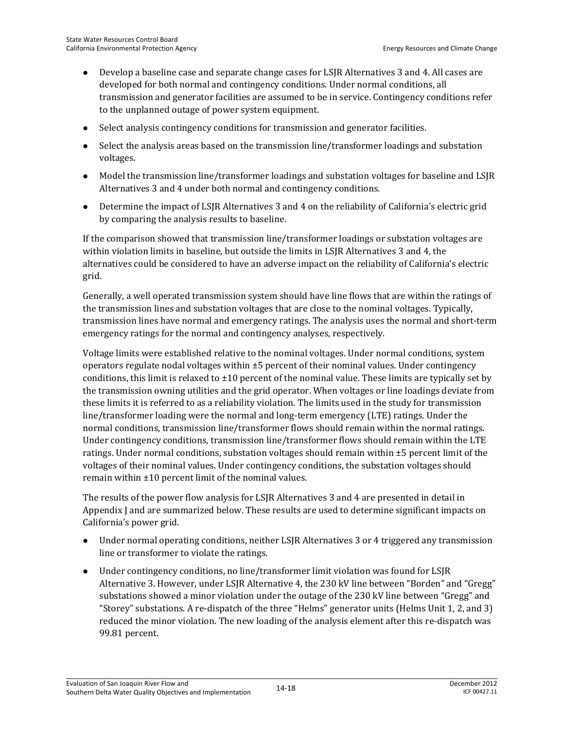- Develop a baseline case and separate change cases for LSJR Alternatives 3 and 4. All cases are developed for both normal and contingency conditions. Under normal conditions, all transmission and generator facilities are assumed to be in service. Contingency conditions refer to the unplanned outage of power system equipment.
- Select analysis contingency conditions for transmission and generator facilities.
- Select the analysis areas based on the transmission line/transformer loadings and substation voltages.
- Model the transmission line/transformer loadings and substation voltages for baseline and LSJR Alternatives 3 and 4 under both normal and contingency conditions.
- Determine the impact of LSJR Alternatives 3 and 4 on the reliability of California's electric grid by comparing the analysis results to baseline.

If the comparison showed that transmission line/transformer loadings or substation voltages are within violation limits in baseline, but outside the limits in LSJR Alternatives 3 and 4, the alternatives could be considered to have an adverse impact on the reliability of California's electric grid.

Generally, a well operated transmission system should have line flows that are within the ratings of the transmission lines and substation voltages that are close to the nominal voltages. Typically, transmission lines have normal and emergency ratings. The analysis uses the normal and short-term emergency ratings for the normal and contingency analyses, respectively.

Voltage limits were established relative to the nominal voltages. Under normal conditions, system operators regulate nodal voltages within ±5 percent of their nominal values. Under contingency conditions, this limit is relaxed to  $\pm 10$  percent of the nominal value. These limits are typically set by the transmission owning utilities and the grid operator. When voltages or line loadings deviate from these limits it is referred to as a reliability violation. The limits used in the study for transmission line/transformer loading were the normal and long-term emergency (LTE) ratings. Under the normal conditions, transmission line/transformer flows should remain within the normal ratings. Under contingency conditions, transmission line/transformer flows should remain within the LTE ratings. Under normal conditions, substation voltages should remain within ±5 percent limit of the voltages of their nominal values. Under contingency conditions, the substation voltages should remain within ±10 percent limit of the nominal values.

The results of the power flow analysis for LSJR Alternatives 3 and 4 are presented in detail in Appendix J and are summarized below. These results are used to determine significant impacts on California's power grid.

- Under normal operating conditions, neither LSJR Alternatives 3 or 4 triggered any transmission line or transformer to violate the ratings.
- Under contingency conditions, no line/transformer limit violation was found for LSJR Alternative 3. However, under LSJR Alternative 4, the 230 kV line between "Borden" and "Gregg" substations showed a minor violation under the outage of the 230 kV line between "Gregg" and "Storey" substations. A re-dispatch of the three "Helms" generator units (Helms Unit 1, 2, and 3) reduced the minor violation. The new loading of the analysis element after this re-dispatch was 99.81 percent.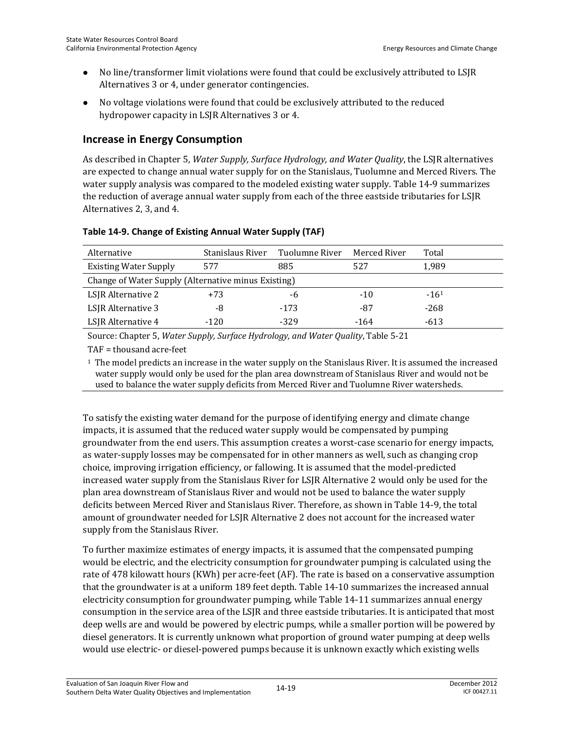- No line/transformer limit violations were found that could be exclusively attributed to LSJR Alternatives 3 or 4, under generator contingencies.
- No voltage violations were found that could be exclusively attributed to the reduced hydropower capacity in LSJR Alternatives 3 or 4.

## **Increase in Energy Consumption**

As described in Chapter 5, *Water Supply, Surface Hydrology, and Water Quality*, the LSJR alternatives are expected to change annual water supply for on the Stanislaus, Tuolumne and Merced Rivers. The water supply analysis was compared to the modeled existing water supply. Table 14-9 summarizes the reduction of average annual water supply from each of the three eastside tributaries for LSJR Alternatives 2, 3, and 4.

| Table 14-9. Change of Existing Annual Water Supply (TAF) |  |  |
|----------------------------------------------------------|--|--|
|                                                          |  |  |

| Alternative                                         | Stanislaus River | Tuolumne River | Merced River | Total     |  |
|-----------------------------------------------------|------------------|----------------|--------------|-----------|--|
| <b>Existing Water Supply</b>                        | 577              | 885            | 527          | 1.989     |  |
| Change of Water Supply (Alternative minus Existing) |                  |                |              |           |  |
| LSJR Alternative 2                                  | $+73$            | -6             | $-10$        | $-16^{1}$ |  |
| LSJR Alternative 3                                  | -8               | $-173$         | -87          | $-268$    |  |
| LSJR Alternative 4                                  | -120             | $-329$         | $-164$       | $-613$    |  |

Source: Chapter 5, *Water Supply, Surface Hydrology, and Water Quality*, Table 5-21

TAF = thousand acre-feet

 $1$  The model predicts an increase in the water supply on the Stanislaus River. It is assumed the increased water supply would only be used for the plan area downstream of Stanislaus River and would not be used to balance the water supply deficits from Merced River and Tuolumne River watersheds.

To satisfy the existing water demand for the purpose of identifying energy and climate change impacts, it is assumed that the reduced water supply would be compensated by pumping groundwater from the end users. This assumption creates a worst-case scenario for energy impacts, as water-supply losses may be compensated for in other manners as well, such as changing crop choice, improving irrigation efficiency, or fallowing. It is assumed that the model-predicted increased water supply from the Stanislaus River for LSJR Alternative 2 would only be used for the plan area downstream of Stanislaus River and would not be used to balance the water supply deficits between Merced River and Stanislaus River. Therefore, as shown in Table 14-9, the total amount of groundwater needed for LSJR Alternative 2 does not account for the increased water supply from the Stanislaus River.

To further maximize estimates of energy impacts, it is assumed that the compensated pumping would be electric, and the electricity consumption for groundwater pumping is calculated using the rate of 478 kilowatt hours (KWh) per acre-feet (AF). The rate is based on a conservative assumption that the groundwater is at a uniform 189 feet depth. Table 14-10 summarizes the increased annual electricity consumption for groundwater pumping, while Table 14-11 summarizes annual energy consumption in the service area of the LSJR and three eastside tributaries. It is anticipated that most deep wells are and would be powered by electric pumps, while a smaller portion will be powered by diesel generators. It is currently unknown what proportion of ground water pumping at deep wells would use electric- or diesel-powered pumps because it is unknown exactly which existing wells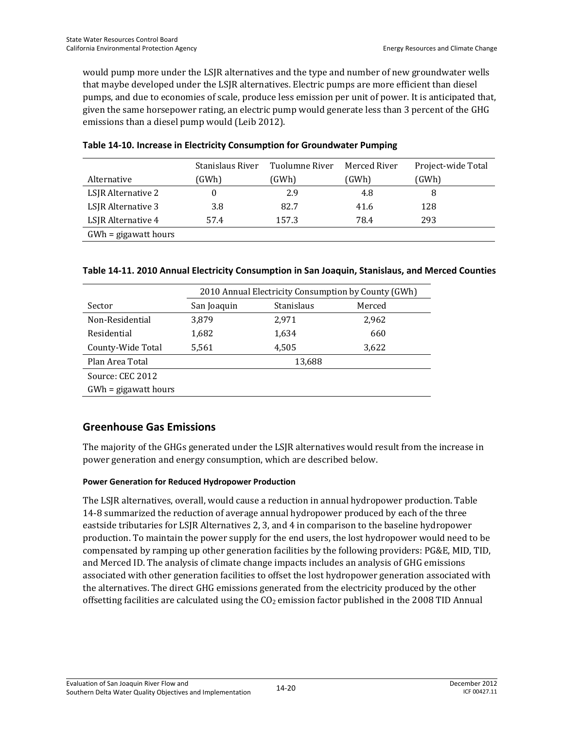would pump more under the LSJR alternatives and the type and number of new groundwater wells that maybe developed under the LSJR alternatives. Electric pumps are more efficient than diesel pumps, and due to economies of scale, produce less emission per unit of power. It is anticipated that, given the same horsepower rating, an electric pump would generate less than 3 percent of the GHG emissions than a diesel pump would (Leib 2012).

|                        | Stanislaus River | Tuolumne River | Merced River | Project-wide Total |
|------------------------|------------------|----------------|--------------|--------------------|
| Alternative            | (GWh)            | (GWh)          | (GWh)        | (GWh)              |
| LSJR Alternative 2     |                  | 2.9            | 4.8          | 8                  |
| LSJR Alternative 3     | 3.8              | 82.7           | 41.6         | 128                |
| LSJR Alternative 4     | 57.4             | 157.3          | 78.4         | 293                |
| $GWh = gigawatt hours$ |                  |                |              |                    |

#### **Table 14-10. Increase in Electricity Consumption for Groundwater Pumping**

|  |  | Table 14-11. 2010 Annual Electricity Consumption in San Joaquin, Stanislaus, and Merced Counties |  |  |
|--|--|--------------------------------------------------------------------------------------------------|--|--|
|  |  |                                                                                                  |  |  |

|                        | 2010 Annual Electricity Consumption by County (GWh) |            |        |  |
|------------------------|-----------------------------------------------------|------------|--------|--|
| Sector                 | San Joaquin                                         | Stanislaus | Merced |  |
| Non-Residential        | 3.879                                               | 2.971      | 2,962  |  |
| Residential            | 1,682                                               | 1,634      | 660    |  |
| County-Wide Total      | 5.561                                               | 4.505      | 3.622  |  |
| Plan Area Total        |                                                     | 13,688     |        |  |
| Source: CEC 2012       |                                                     |            |        |  |
| $GWh = gigawatt hours$ |                                                     |            |        |  |

#### **Greenhouse Gas Emissions**

The majority of the GHGs generated under the LSJR alternatives would result from the increase in power generation and energy consumption, which are described below.

#### **Power Generation for Reduced Hydropower Production**

The LSJR alternatives, overall, would cause a reduction in annual hydropower production. Table 14-8 summarized the reduction of average annual hydropower produced by each of the three eastside tributaries for LSJR Alternatives 2, 3, and 4 in comparison to the baseline hydropower production. To maintain the power supply for the end users, the lost hydropower would need to be compensated by ramping up other generation facilities by the following providers: PG&E, MID, TID, and Merced ID. The analysis of climate change impacts includes an analysis of GHG emissions associated with other generation facilities to offset the lost hydropower generation associated with the alternatives. The direct GHG emissions generated from the electricity produced by the other offsetting facilities are calculated using the  $CO<sub>2</sub>$  emission factor published in the 2008 TID Annual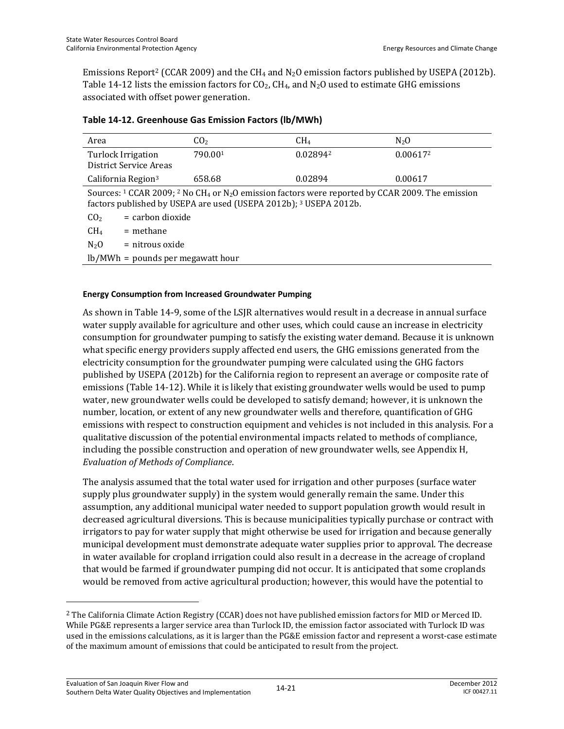Emissions Report<sup>2</sup> (CCAR 2009) and the CH<sub>4</sub> and N<sub>2</sub>O emission factors published by USEPA (2012b). Table 14-12 lists the emission factors for  $CO<sub>2</sub>$ , CH<sub>4</sub>, and N<sub>2</sub>O used to estimate GHG emissions associated with offset power generation.

| Area                                                                                                                                                                                                                           | CO <sub>2</sub> | CH <sub>4</sub> | $N_2$ O  |  |  |
|--------------------------------------------------------------------------------------------------------------------------------------------------------------------------------------------------------------------------------|-----------------|-----------------|----------|--|--|
| Turlock Irrigation<br>District Service Areas                                                                                                                                                                                   | 790.001         | 0.028942        | 0.006172 |  |  |
| California Region <sup>3</sup>                                                                                                                                                                                                 | 658.68          | 0.02894         | 0.00617  |  |  |
| Sources: <sup>1</sup> CCAR 2009; <sup>2</sup> No CH <sub>4</sub> or N <sub>2</sub> O emission factors were reported by CCAR 2009. The emission<br>factors published by USEPA are used (USEPA 2012b); <sup>3</sup> USEPA 2012b. |                 |                 |          |  |  |
| $=$ carbon dioxide<br>CO <sub>2</sub>                                                                                                                                                                                          |                 |                 |          |  |  |
| CH <sub>4</sub><br>$=$ methane                                                                                                                                                                                                 |                 |                 |          |  |  |
| $N_2$ O<br>$=$ nitrous oxide                                                                                                                                                                                                   |                 |                 |          |  |  |
| $lb/MWh =$ pounds per megawatt hour                                                                                                                                                                                            |                 |                 |          |  |  |

#### **Table 14-12. Greenhouse Gas Emission Factors (lb/MWh)**

#### **Energy Consumption from Increased Groundwater Pumping**

As shown in Table 14-9, some of the LSJR alternatives would result in a decrease in annual surface water supply available for agriculture and other uses, which could cause an increase in electricity consumption for groundwater pumping to satisfy the existing water demand. Because it is unknown what specific energy providers supply affected end users, the GHG emissions generated from the electricity consumption for the groundwater pumping were calculated using the GHG factors published by USEPA (2012b) for the California region to represent an average or composite rate of emissions (Table 14-12). While it is likely that existing groundwater wells would be used to pump water, new groundwater wells could be developed to satisfy demand; however, it is unknown the number, location, or extent of any new groundwater wells and therefore, quantification of GHG emissions with respect to construction equipment and vehicles is not included in this analysis. For a qualitative discussion of the potential environmental impacts related to methods of compliance, including the possible construction and operation of new groundwater wells, see Appendix H, *Evaluation of Methods of Compliance*.

The analysis assumed that the total water used for irrigation and other purposes (surface water supply plus groundwater supply) in the system would generally remain the same. Under this assumption, any additional municipal water needed to support population growth would result in decreased agricultural diversions. This is because municipalities typically purchase or contract with irrigators to pay for water supply that might otherwise be used for irrigation and because generally municipal development must demonstrate adequate water supplies prior to approval. The decrease in water available for cropland irrigation could also result in a decrease in the acreage of cropland that would be farmed if groundwater pumping did not occur. It is anticipated that some croplands would be removed from active agricultural production; however, this would have the potential to

 $\overline{a}$ 

<sup>2</sup> The California Climate Action Registry (CCAR) does not have published emission factors for MID or Merced ID. While PG&E represents a larger service area than Turlock ID, the emission factor associated with Turlock ID was used in the emissions calculations, as it is larger than the PG&E emission factor and represent a worst-case estimate of the maximum amount of emissions that could be anticipated to result from the project.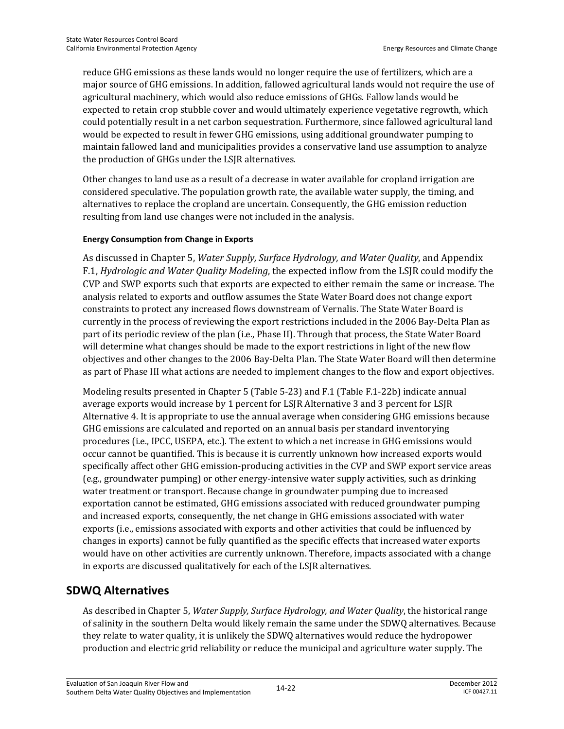reduce GHG emissions as these lands would no longer require the use of fertilizers, which are a major source of GHG emissions. In addition, fallowed agricultural lands would not require the use of agricultural machinery, which would also reduce emissions of GHGs. Fallow lands would be expected to retain crop stubble cover and would ultimately experience vegetative regrowth, which could potentially result in a net carbon sequestration. Furthermore, since fallowed agricultural land would be expected to result in fewer GHG emissions, using additional groundwater pumping to maintain fallowed land and municipalities provides a conservative land use assumption to analyze the production of GHGs under the LSJR alternatives.

Other changes to land use as a result of a decrease in water available for cropland irrigation are considered speculative. The population growth rate, the available water supply, the timing, and alternatives to replace the cropland are uncertain. Consequently, the GHG emission reduction resulting from land use changes were not included in the analysis.

#### **Energy Consumption from Change in Exports**

As discussed in Chapter 5, *Water Supply, Surface Hydrology, and Water Quality*, and Appendix F.1, *Hydrologic and Water Quality Modeling*, the expected inflow from the LSJR could modify the CVP and SWP exports such that exports are expected to either remain the same or increase. The analysis related to exports and outflow assumes the State Water Board does not change export constraints to protect any increased flows downstream of Vernalis. The State Water Board is currently in the process of reviewing the export restrictions included in the 2006 Bay-Delta Plan as part of its periodic review of the plan (i.e., Phase II). Through that process, the State Water Board will determine what changes should be made to the export restrictions in light of the new flow objectives and other changes to the 2006 Bay-Delta Plan. The State Water Board will then determine as part of Phase III what actions are needed to implement changes to the flow and export objectives.

Modeling results presented in Chapter 5 (Table 5-23) and F.1 (Table F.1-22b) indicate annual average exports would increase by 1 percent for LSJR Alternative 3 and 3 percent for LSJR Alternative 4. It is appropriate to use the annual average when considering GHG emissions because GHG emissions are calculated and reported on an annual basis per standard inventorying procedures (i.e., IPCC, USEPA, etc.). The extent to which a net increase in GHG emissions would occur cannot be quantified. This is because it is currently unknown how increased exports would specifically affect other GHG emission-producing activities in the CVP and SWP export service areas (e.g., groundwater pumping) or other energy-intensive water supply activities, such as drinking water treatment or transport. Because change in groundwater pumping due to increased exportation cannot be estimated, GHG emissions associated with reduced groundwater pumping and increased exports, consequently, the net change in GHG emissions associated with water exports (i.e., emissions associated with exports and other activities that could be influenced by changes in exports) cannot be fully quantified as the specific effects that increased water exports would have on other activities are currently unknown. Therefore, impacts associated with a change in exports are discussed qualitatively for each of the LSJR alternatives.

### **SDWQ Alternatives**

As described in Chapter 5, *Water Supply, Surface Hydrology, and Water Quality*, the historical range of salinity in the southern Delta would likely remain the same under the SDWQ alternatives. Because they relate to water quality, it is unlikely the SDWQ alternatives would reduce the hydropower production and electric grid reliability or reduce the municipal and agriculture water supply. The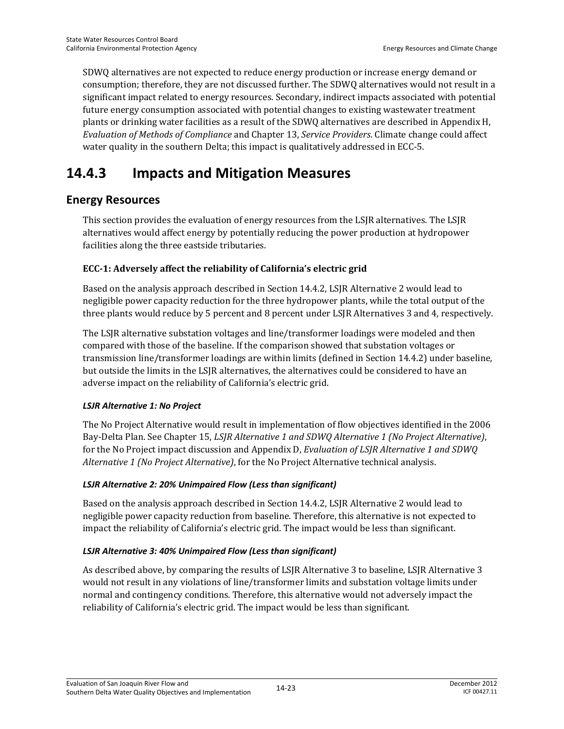SDWQ alternatives are not expected to reduce energy production or increase energy demand or consumption; therefore, they are not discussed further. The SDWQ alternatives would not result in a significant impact related to energy resources. Secondary, indirect impacts associated with potential future energy consumption associated with potential changes to existing wastewater treatment plants or drinking water facilities as a result of the SDWQ alternatives are described in Appendix H, *Evaluation of Methods of Compliance* and Chapter 13, *Service Providers*. Climate change could affect water quality in the southern Delta; this impact is qualitatively addressed in ECC-5.

## **14.4.3 Impacts and Mitigation Measures**

## **Energy Resources**

This section provides the evaluation of energy resources from the LSJR alternatives. The LSJR alternatives would affect energy by potentially reducing the power production at hydropower facilities along the three eastside tributaries.

#### **ECC-1: Adversely affect the reliability of California's electric grid**

Based on the analysis approach described in Section 14.4.2, LSJR Alternative 2 would lead to negligible power capacity reduction for the three hydropower plants, while the total output of the three plants would reduce by 5 percent and 8 percent under LSJR Alternatives 3 and 4, respectively.

The LSJR alternative substation voltages and line/transformer loadings were modeled and then compared with those of the baseline. If the comparison showed that substation voltages or transmission line/transformer loadings are within limits (defined in Section 14.4.2) under baseline, but outside the limits in the LSJR alternatives, the alternatives could be considered to have an adverse impact on the reliability of California's electric grid.

#### *LSJR Alternative 1: No Project*

The No Project Alternative would result in implementation of flow objectives identified in the 2006 Bay-Delta Plan. See Chapter 15, *LSJR Alternative 1 and SDWQ Alternative 1 (No Project Alternative)*, for the No Project impact discussion and Appendix D, *Evaluation of LSJR Alternative 1 and SDWQ Alternative 1 (No Project Alternative)*, for the No Project Alternative technical analysis.

#### *LSJR Alternative 2: 20% Unimpaired Flow (Less than significant)*

Based on the analysis approach described in Section 14.4.2, LSJR Alternative 2 would lead to negligible power capacity reduction from baseline. Therefore, this alternative is not expected to impact the reliability of California's electric grid. The impact would be less than significant.

#### *LSJR Alternative 3: 40% Unimpaired Flow (Less than significant)*

As described above, by comparing the results of LSJR Alternative 3 to baseline, LSJR Alternative 3 would not result in any violations of line/transformer limits and substation voltage limits under normal and contingency conditions. Therefore, this alternative would not adversely impact the reliability of California's electric grid. The impact would be less than significant.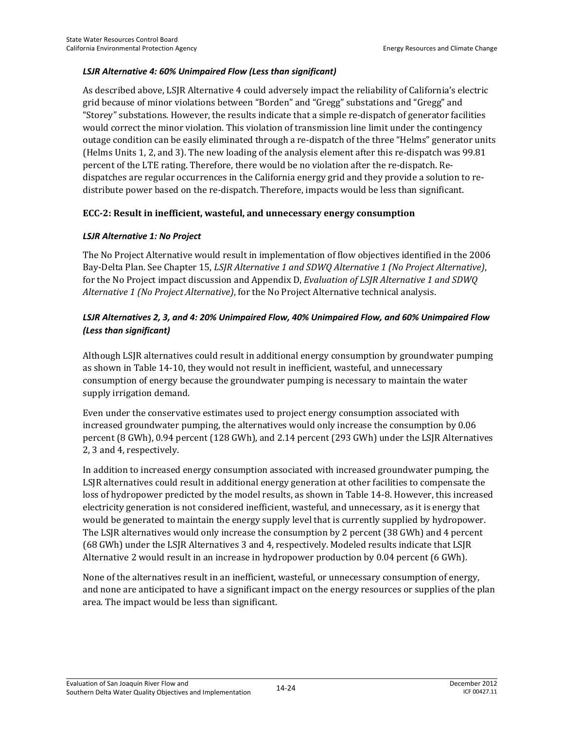#### *LSJR Alternative 4: 60% Unimpaired Flow (Less than significant)*

As described above, LSJR Alternative 4 could adversely impact the reliability of California's electric grid because of minor violations between "Borden" and "Gregg" substations and "Gregg" and "Storey" substations. However, the results indicate that a simple re-dispatch of generator facilities would correct the minor violation. This violation of transmission line limit under the contingency outage condition can be easily eliminated through a re-dispatch of the three "Helms" generator units (Helms Units 1, 2, and 3). The new loading of the analysis element after this re-dispatch was 99.81 percent of the LTE rating. Therefore, there would be no violation after the re-dispatch. Redispatches are regular occurrences in the California energy grid and they provide a solution to redistribute power based on the re-dispatch. Therefore, impacts would be less than significant.

#### **ECC-2: Result in inefficient, wasteful, and unnecessary energy consumption**

#### *LSJR Alternative 1: No Project*

The No Project Alternative would result in implementation of flow objectives identified in the 2006 Bay-Delta Plan. See Chapter 15, *LSJR Alternative 1 and SDWQ Alternative 1 (No Project Alternative)*, for the No Project impact discussion and Appendix D, *Evaluation of LSJR Alternative 1 and SDWQ Alternative 1 (No Project Alternative)*, for the No Project Alternative technical analysis.

#### *LSJR Alternatives 2, 3, and 4: 20% Unimpaired Flow, 40% Unimpaired Flow, and 60% Unimpaired Flow (Less than significant)*

Although LSJR alternatives could result in additional energy consumption by groundwater pumping as shown in Table 14-10, they would not result in inefficient, wasteful, and unnecessary consumption of energy because the groundwater pumping is necessary to maintain the water supply irrigation demand.

Even under the conservative estimates used to project energy consumption associated with increased groundwater pumping, the alternatives would only increase the consumption by 0.06 percent (8 GWh), 0.94 percent (128 GWh), and 2.14 percent (293 GWh) under the LSJR Alternatives 2, 3 and 4, respectively.

In addition to increased energy consumption associated with increased groundwater pumping, the LSJR alternatives could result in additional energy generation at other facilities to compensate the loss of hydropower predicted by the model results, as shown in Table 14-8. However, this increased electricity generation is not considered inefficient, wasteful, and unnecessary, as it is energy that would be generated to maintain the energy supply level that is currently supplied by hydropower. The LSJR alternatives would only increase the consumption by 2 percent (38 GWh) and 4 percent (68 GWh) under the LSJR Alternatives 3 and 4, respectively. Modeled results indicate that LSJR Alternative 2 would result in an increase in hydropower production by 0.04 percent (6 GWh).

None of the alternatives result in an inefficient, wasteful, or unnecessary consumption of energy, and none are anticipated to have a significant impact on the energy resources or supplies of the plan area. The impact would be less than significant.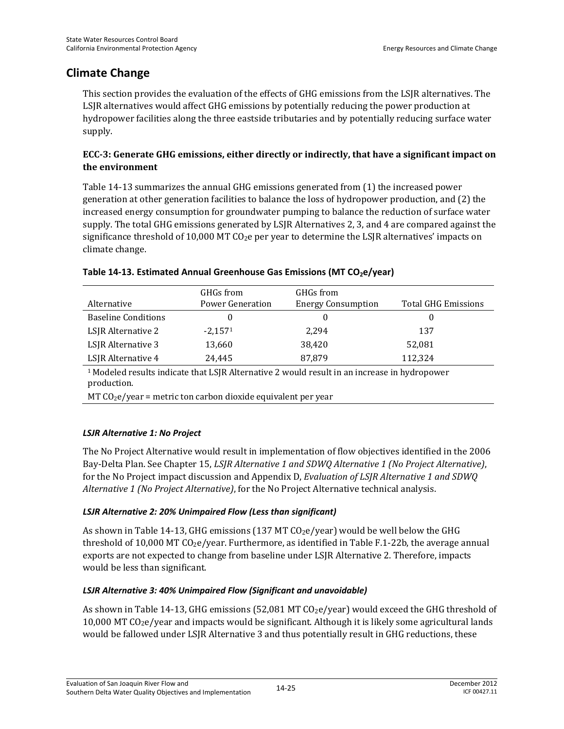### **Climate Change**

This section provides the evaluation of the effects of GHG emissions from the LSJR alternatives. The LSJR alternatives would affect GHG emissions by potentially reducing the power production at hydropower facilities along the three eastside tributaries and by potentially reducing surface water supply.

#### **ECC-3: Generate GHG emissions, either directly or indirectly, that have a significant impact on the environment**

Table 14-13 summarizes the annual GHG emissions generated from (1) the increased power generation at other generation facilities to balance the loss of hydropower production, and (2) the increased energy consumption for groundwater pumping to balance the reduction of surface water supply. The total GHG emissions generated by LSJR Alternatives 2, 3, and 4 are compared against the significance threshold of 10,000 MT  $CO<sub>2</sub>e$  per year to determine the LSJR alternatives' impacts on climate change.

#### Table 14-13. Estimated Annual Greenhouse Gas Emissions (MT CO<sub>2</sub>e/year)

| Alternative                | GHGs from<br>Power Generation | GHGs from<br><b>Energy Consumption</b> | <b>Total GHG Emissions</b> |
|----------------------------|-------------------------------|----------------------------------------|----------------------------|
| <b>Baseline Conditions</b> | 0                             |                                        |                            |
| LSJR Alternative 2         | $-2.1571$                     | 2.294                                  | 137                        |
| LSJR Alternative 3         | 13,660                        | 38,420                                 | 52,081                     |
| LSJR Alternative 4         | 24,445                        | 87,879                                 | 112,324                    |

1 Modeled results indicate that LSJR Alternative 2 would result in an increase in hydropower production.

 $MT CO<sub>2</sub>e/year$  = metric ton carbon dioxide equivalent per year

#### *LSJR Alternative 1: No Project*

The No Project Alternative would result in implementation of flow objectives identified in the 2006 Bay-Delta Plan. See Chapter 15, *LSJR Alternative 1 and SDWQ Alternative 1 (No Project Alternative)*, for the No Project impact discussion and Appendix D, *Evaluation of LSJR Alternative 1 and SDWQ Alternative 1 (No Project Alternative)*, for the No Project Alternative technical analysis.

#### *LSJR Alternative 2: 20% Unimpaired Flow (Less than significant)*

As shown in Table 14-13, GHG emissions (137 MT  $CO<sub>2</sub>e/year$ ) would be well below the GHG threshold of 10,000 MT  $CO<sub>2</sub>e/year$ . Furthermore, as identified in Table F.1-22b, the average annual exports are not expected to change from baseline under LSJR Alternative 2. Therefore, impacts would be less than significant.

#### *LSJR Alternative 3: 40% Unimpaired Flow (Significant and unavoidable)*

As shown in Table 14-13, GHG emissions (52,081 MT  $CO<sub>2</sub>e/year$ ) would exceed the GHG threshold of 10,000 MT CO2e/year and impacts would be significant. Although it is likely some agricultural lands would be fallowed under LSJR Alternative 3 and thus potentially result in GHG reductions, these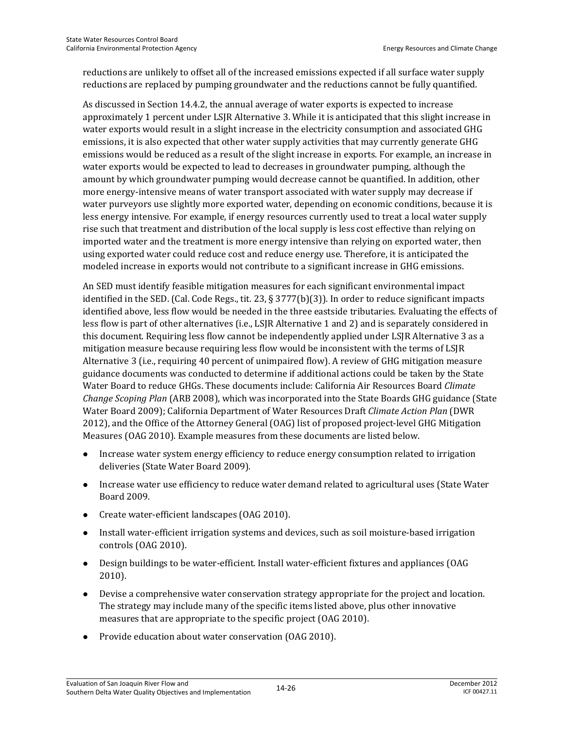reductions are unlikely to offset all of the increased emissions expected if all surface water supply reductions are replaced by pumping groundwater and the reductions cannot be fully quantified.

As discussed in Section 14.4.2, the annual average of water exports is expected to increase approximately 1 percent under LSJR Alternative 3. While it is anticipated that this slight increase in water exports would result in a slight increase in the electricity consumption and associated GHG emissions, it is also expected that other water supply activities that may currently generate GHG emissions would be reduced as a result of the slight increase in exports. For example, an increase in water exports would be expected to lead to decreases in groundwater pumping, although the amount by which groundwater pumping would decrease cannot be quantified. In addition, other more energy-intensive means of water transport associated with water supply may decrease if water purveyors use slightly more exported water, depending on economic conditions, because it is less energy intensive. For example, if energy resources currently used to treat a local water supply rise such that treatment and distribution of the local supply is less cost effective than relying on imported water and the treatment is more energy intensive than relying on exported water, then using exported water could reduce cost and reduce energy use. Therefore, it is anticipated the modeled increase in exports would not contribute to a significant increase in GHG emissions.

An SED must identify feasible mitigation measures for each significant environmental impact identified in the SED. (Cal. Code Regs., tit. 23, § 3777(b)(3)). In order to reduce significant impacts identified above, less flow would be needed in the three eastside tributaries. Evaluating the effects of less flow is part of other alternatives (i.e., LSJR Alternative 1 and 2) and is separately considered in this document. Requiring less flow cannot be independently applied under LSJR Alternative 3 as a mitigation measure because requiring less flow would be inconsistent with the terms of LSJR Alternative 3 (i.e., requiring 40 percent of unimpaired flow). A review of GHG mitigation measure guidance documents was conducted to determine if additional actions could be taken by the State Water Board to reduce GHGs. These documents include: California Air Resources Board *Climate Change Scoping Plan* (ARB 2008), which was incorporated into the State Boards GHG guidance (State Water Board 2009); California Department of Water Resources Draft *Climate Action Plan* (DWR 2012), and the Office of the Attorney General (OAG) list of proposed project-level GHG Mitigation Measures (OAG 2010). Example measures from these documents are listed below.

- Increase water system energy efficiency to reduce energy consumption related to irrigation deliveries (State Water Board 2009).
- Increase water use efficiency to reduce water demand related to agricultural uses (State Water Board 2009.
- Create water-efficient landscapes (OAG 2010).
- Install water-efficient irrigation systems and devices, such as soil moisture-based irrigation controls (OAG 2010).
- Design buildings to be water-efficient. Install water-efficient fixtures and appliances (OAG 2010).
- Devise a comprehensive water conservation strategy appropriate for the project and location. The strategy may include many of the specific items listed above, plus other innovative measures that are appropriate to the specific project (OAG 2010).
- Provide education about water conservation (OAG 2010).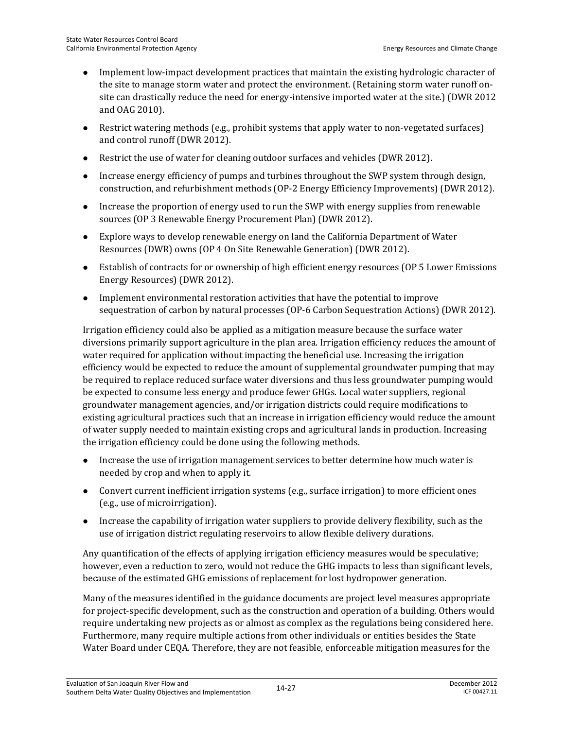- Implement low-impact development practices that maintain the existing hydrologic character of the site to manage storm water and protect the environment. (Retaining storm water runoff onsite can drastically reduce the need for energy-intensive imported water at the site.) (DWR 2012 and OAG 2010).
- Restrict watering methods (e.g., prohibit systems that apply water to non-vegetated surfaces) and control runoff (DWR 2012).
- Restrict the use of water for cleaning outdoor surfaces and vehicles (DWR 2012).
- Increase energy efficiency of pumps and turbines throughout the SWP system through design, construction, and refurbishment methods (OP-2 Energy Efficiency Improvements) (DWR 2012).
- Increase the proportion of energy used to run the SWP with energy supplies from renewable sources (OP 3 Renewable Energy Procurement Plan) (DWR 2012).
- Explore ways to develop renewable energy on land the California Department of Water Resources (DWR) owns (OP 4 On Site Renewable Generation) (DWR 2012).
- Establish of contracts for or ownership of high efficient energy resources (OP 5 Lower Emissions Energy Resources) (DWR 2012).
- Implement environmental restoration activities that have the potential to improve sequestration of carbon by natural processes (OP-6 Carbon Sequestration Actions) (DWR 2012).

Irrigation efficiency could also be applied as a mitigation measure because the surface water diversions primarily support agriculture in the plan area. Irrigation efficiency reduces the amount of water required for application without impacting the beneficial use. Increasing the irrigation efficiency would be expected to reduce the amount of supplemental groundwater pumping that may be required to replace reduced surface water diversions and thus less groundwater pumping would be expected to consume less energy and produce fewer GHGs. Local water suppliers, regional groundwater management agencies, and/or irrigation districts could require modifications to existing agricultural practices such that an increase in irrigation efficiency would reduce the amount of water supply needed to maintain existing crops and agricultural lands in production. Increasing the irrigation efficiency could be done using the following methods.

- Increase the use of irrigation management services to better determine how much water is needed by crop and when to apply it.
- Convert current inefficient irrigation systems (e.g., surface irrigation) to more efficient ones (e.g., use of microirrigation).
- Increase the capability of irrigation water suppliers to provide delivery flexibility, such as the use of irrigation district regulating reservoirs to allow flexible delivery durations.

Any quantification of the effects of applying irrigation efficiency measures would be speculative; however, even a reduction to zero, would not reduce the GHG impacts to less than significant levels, because of the estimated GHG emissions of replacement for lost hydropower generation.

Many of the measures identified in the guidance documents are project level measures appropriate for project-specific development, such as the construction and operation of a building. Others would require undertaking new projects as or almost as complex as the regulations being considered here. Furthermore, many require multiple actions from other individuals or entities besides the State Water Board under CEQA. Therefore, they are not feasible, enforceable mitigation measures for the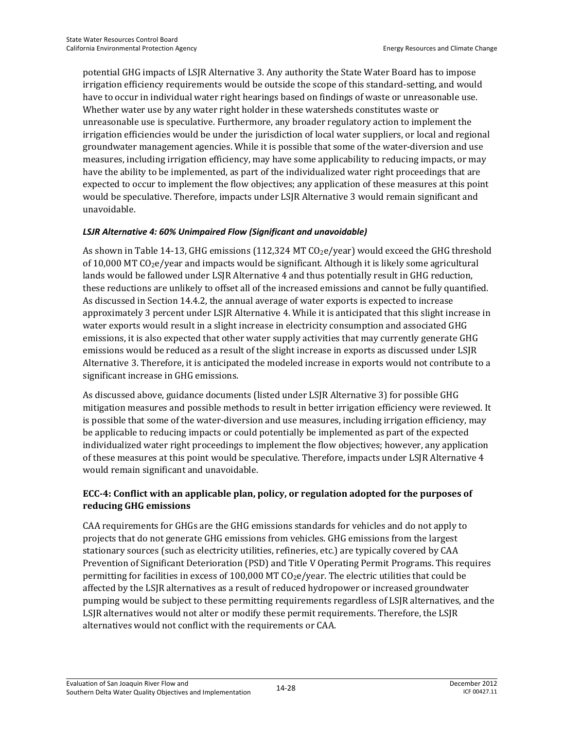potential GHG impacts of LSJR Alternative 3. Any authority the State Water Board has to impose irrigation efficiency requirements would be outside the scope of this standard-setting, and would have to occur in individual water right hearings based on findings of waste or unreasonable use. Whether water use by any water right holder in these watersheds constitutes waste or unreasonable use is speculative. Furthermore, any broader regulatory action to implement the irrigation efficiencies would be under the jurisdiction of local water suppliers, or local and regional groundwater management agencies. While it is possible that some of the water-diversion and use measures, including irrigation efficiency, may have some applicability to reducing impacts, or may have the ability to be implemented, as part of the individualized water right proceedings that are expected to occur to implement the flow objectives; any application of these measures at this point would be speculative. Therefore, impacts under LSJR Alternative 3 would remain significant and unavoidable.

#### *LSJR Alternative 4: 60% Unimpaired Flow (Significant and unavoidable)*

As shown in Table 14-13, GHG emissions (112,324 MT CO<sub>2</sub>e/year) would exceed the GHG threshold of 10,000 MT  $CO<sub>2</sub>e/year$  and impacts would be significant. Although it is likely some agricultural lands would be fallowed under LSJR Alternative 4 and thus potentially result in GHG reduction, these reductions are unlikely to offset all of the increased emissions and cannot be fully quantified. As discussed in Section 14.4.2, the annual average of water exports is expected to increase approximately 3 percent under LSJR Alternative 4. While it is anticipated that this slight increase in water exports would result in a slight increase in electricity consumption and associated GHG emissions, it is also expected that other water supply activities that may currently generate GHG emissions would be reduced as a result of the slight increase in exports as discussed under LSJR Alternative 3. Therefore, it is anticipated the modeled increase in exports would not contribute to a significant increase in GHG emissions.

As discussed above, guidance documents (listed under LSJR Alternative 3) for possible GHG mitigation measures and possible methods to result in better irrigation efficiency were reviewed. It is possible that some of the water-diversion and use measures, including irrigation efficiency, may be applicable to reducing impacts or could potentially be implemented as part of the expected individualized water right proceedings to implement the flow objectives; however, any application of these measures at this point would be speculative. Therefore, impacts under LSJR Alternative 4 would remain significant and unavoidable.

#### **ECC-4: Conflict with an applicable plan, policy, or regulation adopted for the purposes of reducing GHG emissions**

CAA requirements for GHGs are the GHG emissions standards for vehicles and do not apply to projects that do not generate GHG emissions from vehicles. GHG emissions from the largest stationary sources (such as electricity utilities, refineries, etc.) are typically covered by CAA Prevention of Significant Deterioration (PSD) and Title V Operating Permit Programs. This requires permitting for facilities in excess of 100,000 MT  $CO<sub>2</sub>e/year$ . The electric utilities that could be affected by the LSJR alternatives as a result of reduced hydropower or increased groundwater pumping would be subject to these permitting requirements regardless of LSJR alternatives, and the LSJR alternatives would not alter or modify these permit requirements. Therefore, the LSJR alternatives would not conflict with the requirements or CAA.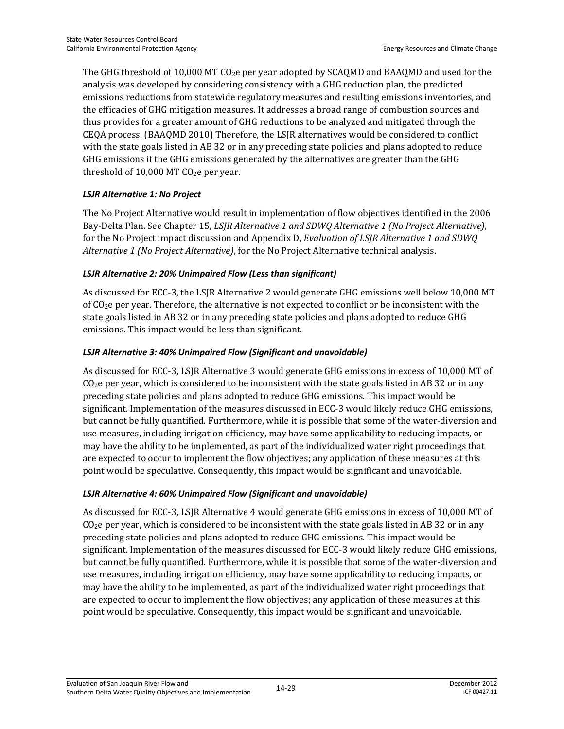The GHG threshold of 10,000 MT CO2e per year adopted by SCAQMD and BAAQMD and used for the analysis was developed by considering consistency with a GHG reduction plan, the predicted emissions reductions from statewide regulatory measures and resulting emissions inventories, and the efficacies of GHG mitigation measures. It addresses a broad range of combustion sources and thus provides for a greater amount of GHG reductions to be analyzed and mitigated through the CEQA process. (BAAQMD 2010) Therefore, the LSJR alternatives would be considered to conflict with the state goals listed in AB 32 or in any preceding state policies and plans adopted to reduce GHG emissions if the GHG emissions generated by the alternatives are greater than the GHG threshold of 10,000 MT  $CO<sub>2</sub>e$  per year.

#### *LSJR Alternative 1: No Project*

The No Project Alternative would result in implementation of flow objectives identified in the 2006 Bay-Delta Plan. See Chapter 15, *LSJR Alternative 1 and SDWQ Alternative 1 (No Project Alternative)*, for the No Project impact discussion and Appendix D, *Evaluation of LSJR Alternative 1 and SDWQ Alternative 1 (No Project Alternative)*, for the No Project Alternative technical analysis.

#### *LSJR Alternative 2: 20% Unimpaired Flow (Less than significant)*

As discussed for ECC-3, the LSJR Alternative 2 would generate GHG emissions well below 10,000 MT of  $CO<sub>2</sub>e$  per year. Therefore, the alternative is not expected to conflict or be inconsistent with the state goals listed in AB 32 or in any preceding state policies and plans adopted to reduce GHG emissions. This impact would be less than significant.

#### *LSJR Alternative 3: 40% Unimpaired Flow (Significant and unavoidable)*

As discussed for ECC-3, LSJR Alternative 3 would generate GHG emissions in excess of 10,000 MT of  $C_2$ e per year, which is considered to be inconsistent with the state goals listed in AB 32 or in any preceding state policies and plans adopted to reduce GHG emissions. This impact would be significant. Implementation of the measures discussed in ECC-3 would likely reduce GHG emissions, but cannot be fully quantified. Furthermore, while it is possible that some of the water-diversion and use measures, including irrigation efficiency, may have some applicability to reducing impacts, or may have the ability to be implemented, as part of the individualized water right proceedings that are expected to occur to implement the flow objectives; any application of these measures at this point would be speculative. Consequently, this impact would be significant and unavoidable.

#### *LSJR Alternative 4: 60% Unimpaired Flow (Significant and unavoidable)*

As discussed for ECC-3, LSJR Alternative 4 would generate GHG emissions in excess of 10,000 MT of  $C_2$ e per year, which is considered to be inconsistent with the state goals listed in AB 32 or in any preceding state policies and plans adopted to reduce GHG emissions. This impact would be significant. Implementation of the measures discussed for ECC-3 would likely reduce GHG emissions, but cannot be fully quantified. Furthermore, while it is possible that some of the water-diversion and use measures, including irrigation efficiency, may have some applicability to reducing impacts, or may have the ability to be implemented, as part of the individualized water right proceedings that are expected to occur to implement the flow objectives; any application of these measures at this point would be speculative. Consequently, this impact would be significant and unavoidable.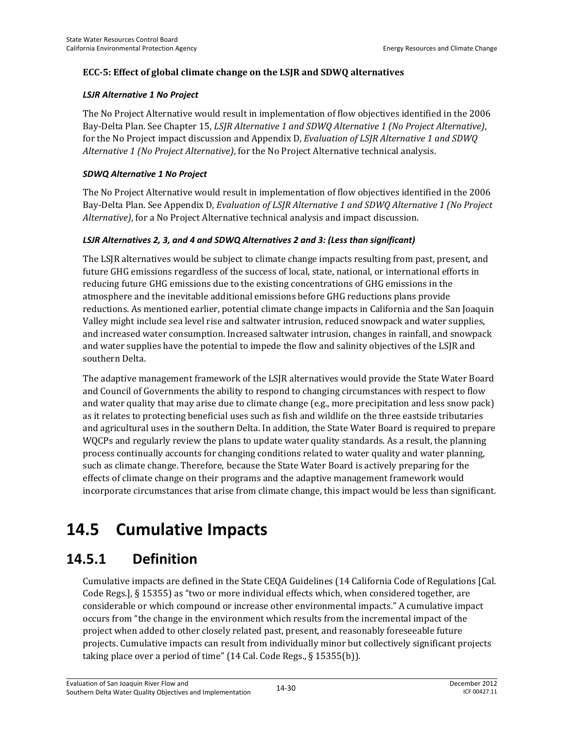#### **ECC-5: Effect of global climate change on the LSJR and SDWQ alternatives**

#### *LSJR Alternative 1 No Project*

The No Project Alternative would result in implementation of flow objectives identified in the 2006 Bay-Delta Plan. See Chapter 15, *LSJR Alternative 1 and SDWQ Alternative 1 (No Project Alternative)*, for the No Project impact discussion and Appendix D, *Evaluation of LSJR Alternative 1 and SDWQ Alternative 1 (No Project Alternative)*, for the No Project Alternative technical analysis.

#### *SDWQ Alternative 1 No Project*

The No Project Alternative would result in implementation of flow objectives identified in the 2006 Bay-Delta Plan. See Appendix D, *Evaluation of LSJR Alternative 1 and SDWQ Alternative 1 (No Project Alternative)*, for a No Project Alternative technical analysis and impact discussion.

#### LSJR Alternatives 2, 3, and 4 and SDWQ Alternatives 2 and 3: (Less than significant)

The LSJR alternatives would be subject to climate change impacts resulting from past, present, and future GHG emissions regardless of the success of local, state, national, or international efforts in reducing future GHG emissions due to the existing concentrations of GHG emissions in the atmosphere and the inevitable additional emissions before GHG reductions plans provide reductions. As mentioned earlier, potential climate change impacts in California and the San Joaquin Valley might include sea level rise and saltwater intrusion, reduced snowpack and water supplies, and increased water consumption. Increased saltwater intrusion, changes in rainfall, and snowpack and water supplies have the potential to impede the flow and salinity objectives of the LSJR and southern Delta.

The adaptive management framework of the LSJR alternatives would provide the State Water Board and Council of Governments the ability to respond to changing circumstances with respect to flow and water quality that may arise due to climate change (e.g., more precipitation and less snow pack) as it relates to protecting beneficial uses such as fish and wildlife on the three eastside tributaries and agricultural uses in the southern Delta. In addition, the State Water Board is required to prepare WQCPs and regularly review the plans to update water quality standards. As a result, the planning process continually accounts for changing conditions related to water quality and water planning, such as climate change. Therefore, because the State Water Board is actively preparing for the effects of climate change on their programs and the adaptive management framework would incorporate circumstances that arise from climate change, this impact would be less than significant.

# **14.5 Cumulative Impacts**

## **14.5.1 Definition**

Cumulative impacts are defined in the State CEQA Guidelines (14 California Code of Regulations [Cal. Code Regs.], § 15355) as "two or more individual effects which, when considered together, are considerable or which compound or increase other environmental impacts." A cumulative impact occurs from "the change in the environment which results from the incremental impact of the project when added to other closely related past, present, and reasonably foreseeable future projects. Cumulative impacts can result from individually minor but collectively significant projects taking place over a period of time" (14 Cal. Code Regs., § 15355(b)).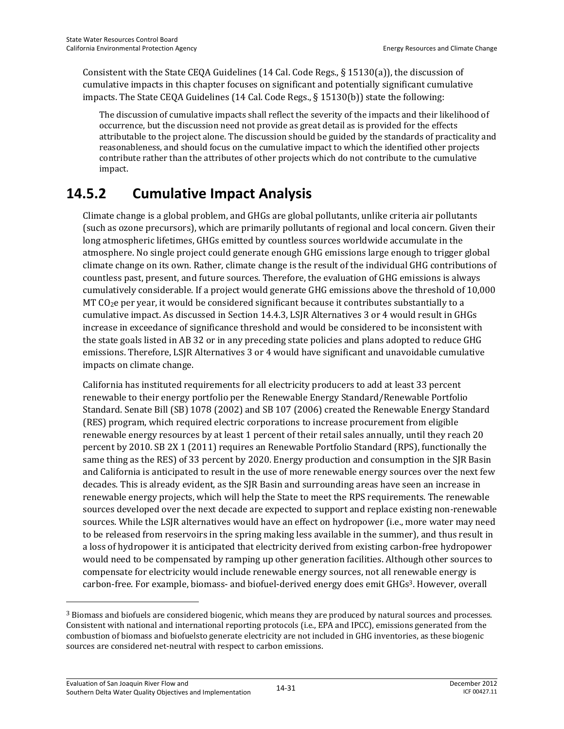Consistent with the State CEQA Guidelines (14 Cal. Code Regs., § 15130(a)), the discussion of cumulative impacts in this chapter focuses on significant and potentially significant cumulative impacts. The State CEQA Guidelines (14 Cal. Code Regs., § 15130(b)) state the following:

The discussion of cumulative impacts shall reflect the severity of the impacts and their likelihood of occurrence, but the discussion need not provide as great detail as is provided for the effects attributable to the project alone. The discussion should be guided by the standards of practicality and reasonableness, and should focus on the cumulative impact to which the identified other projects contribute rather than the attributes of other projects which do not contribute to the cumulative impact.

## **14.5.2 Cumulative Impact Analysis**

Climate change is a global problem, and GHGs are global pollutants, unlike criteria air pollutants (such as ozone precursors), which are primarily pollutants of regional and local concern. Given their long atmospheric lifetimes, GHGs emitted by countless sources worldwide accumulate in the atmosphere. No single project could generate enough GHG emissions large enough to trigger global climate change on its own. Rather, climate change is the result of the individual GHG contributions of countless past, present, and future sources. Therefore, the evaluation of GHG emissions is always cumulatively considerable. If a project would generate GHG emissions above the threshold of 10,000 MT CO<sub>2</sub>e per year, it would be considered significant because it contributes substantially to a cumulative impact. As discussed in Section 14.4.3, LSJR Alternatives 3 or 4 would result in GHGs increase in exceedance of significance threshold and would be considered to be inconsistent with the state goals listed in AB 32 or in any preceding state policies and plans adopted to reduce GHG emissions. Therefore, LSJR Alternatives 3 or 4 would have significant and unavoidable cumulative impacts on climate change.

California has instituted requirements for all electricity producers to add at least 33 percent renewable to their energy portfolio per the Renewable Energy Standard/Renewable Portfolio Standard. Senate Bill (SB) 1078 (2002) and SB 107 (2006) created the Renewable Energy Standard (RES) program, which required electric corporations to increase procurement from eligible renewable energy resources by at least 1 percent of their retail sales annually, until they reach 20 percent by 2010. SB 2X 1 (2011) requires an Renewable Portfolio Standard (RPS), functionally the same thing as the RES) of 33 percent by 2020. Energy production and consumption in the SJR Basin and California is anticipated to result in the use of more renewable energy sources over the next few decades. This is already evident, as the SJR Basin and surrounding areas have seen an increase in renewable energy projects, which will help the State to meet the RPS requirements. The renewable sources developed over the next decade are expected to support and replace existing non-renewable sources. While the LSJR alternatives would have an effect on hydropower (i.e., more water may need to be released from reservoirs in the spring making less available in the summer), and thus result in a loss of hydropower it is anticipated that electricity derived from existing carbon-free hydropower would need to be compensated by ramping up other generation facilities. Although other sources to compensate for electricity would include renewable energy sources, not all renewable energy is carbon-free. For example, biomass- and biofuel-derived energy does emit GHGs3. However, overall

 $\overline{a}$ 

<sup>3</sup> Biomass and biofuels are considered biogenic, which means they are produced by natural sources and processes. Consistent with national and international reporting protocols (i.e., EPA and IPCC), emissions generated from the combustion of biomass and biofuelsto generate electricity are not included in GHG inventories, as these biogenic sources are considered net-neutral with respect to carbon emissions.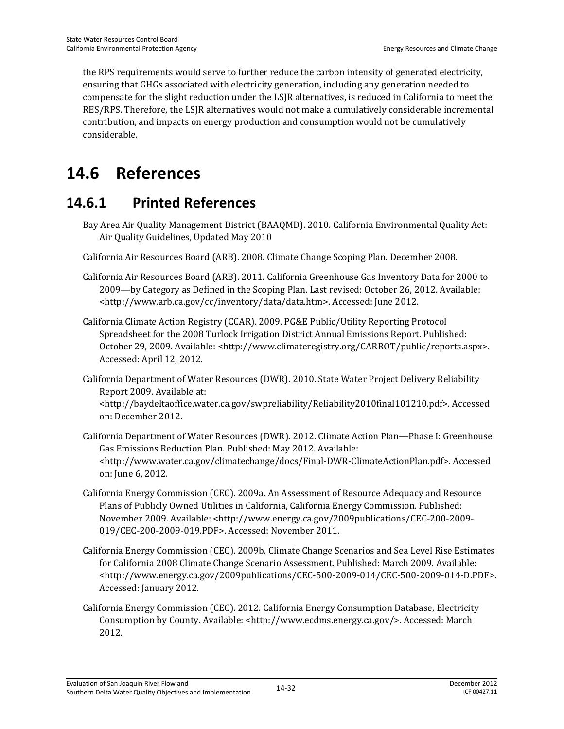the RPS requirements would serve to further reduce the carbon intensity of generated electricity, ensuring that GHGs associated with electricity generation, including any generation needed to compensate for the slight reduction under the LSJR alternatives, is reduced in California to meet the RES/RPS. Therefore, the LSJR alternatives would not make a cumulatively considerable incremental contribution, and impacts on energy production and consumption would not be cumulatively considerable.

# **14.6 References**

## **14.6.1 Printed References**

- Bay Area Air Quality Management District (BAAQMD). 2010. California Environmental Quality Act: Air Quality Guidelines, Updated May 2010
- California Air Resources Board (ARB). 2008. Climate Change Scoping Plan. December 2008.
- California Air Resources Board (ARB). 2011. California Greenhouse Gas Inventory Data for 2000 to 2009—by Category as Defined in the Scoping Plan. Last revised: October 26, 2012. Available: <http://www.arb.ca.gov/cc/inventory/data/data.htm>. Accessed: June 2012.
- California Climate Action Registry (CCAR). 2009. PG&E Public/Utility Reporting Protocol Spreadsheet for the 2008 Turlock Irrigation District Annual Emissions Report. Published: October 29, 2009. Available: <http://www.climateregistry.org/CARROT/public/reports.aspx>. Accessed: April 12, 2012.
- California Department of Water Resources (DWR). 2010. State Water Project Delivery Reliability Report 2009. Available at:

<http://baydeltaoffice.water.ca.gov/swpreliability/Reliability2010final101210.pdf>. Accessed on: December 2012.

- California Department of Water Resources (DWR). 2012. Climate Action Plan—Phase I: Greenhouse Gas Emissions Reduction Plan. Published: May 2012. Available: <http://www.water.ca.gov/climatechange/docs/Final-DWR-ClimateActionPlan.pdf>. Accessed on: June 6, 2012.
- California Energy Commission (CEC). 2009a. An Assessment of Resource Adequacy and Resource Plans of Publicly Owned Utilities in California, California Energy Commission. Published: November 2009. Available: <http://www.energy.ca.gov/2009publications/CEC-200-2009-019/CEC-200-2009-019.PDF>. Accessed: November 2011.
- California Energy Commission (CEC). 2009b. Climate Change Scenarios and Sea Level Rise Estimates for California 2008 Climate Change Scenario Assessment. Published: March 2009. Available: <http://www.energy.ca.gov/2009publications/CEC-500-2009-014/CEC-500-2009-014-D.PDF>. Accessed: January 2012.
- California Energy Commission (CEC). 2012. California Energy Consumption Database, Electricity Consumption by County. Available: <http://www.ecdms.energy.ca.gov/>. Accessed: March 2012.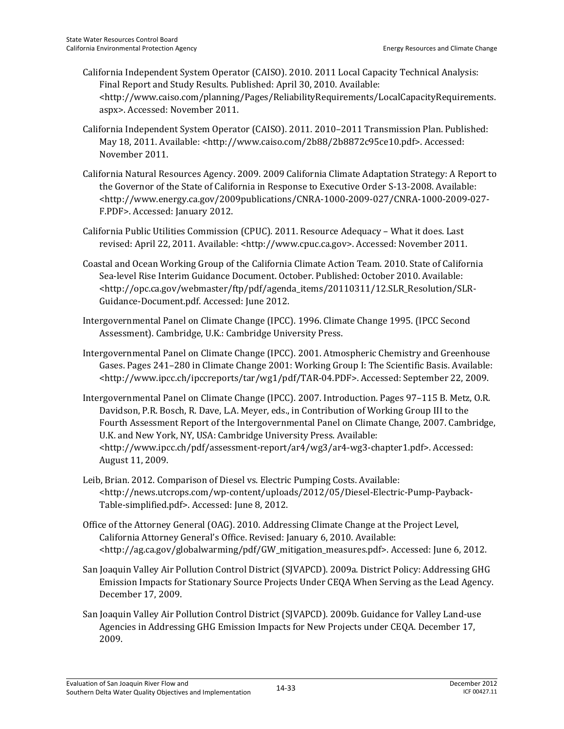- California Independent System Operator (CAISO). 2010. 2011 Local Capacity Technical Analysis: Final Report and Study Results. Published: April 30, 2010. Available: <http://www.caiso.com/planning/Pages/ReliabilityRequirements/LocalCapacityRequirements. aspx>. Accessed: November 2011.
- California Independent System Operator (CAISO). 2011. 2010–2011 Transmission Plan. Published: May 18, 2011. Available: <http://www.caiso.com/2b88/2b8872c95ce10.pdf>. Accessed: November 2011.
- California Natural Resources Agency. 2009. 2009 California Climate Adaptation Strategy: A Report to the Governor of the State of California in Response to Executive Order S-13-2008. Available: <http://www.energy.ca.gov/2009publications/CNRA-1000-2009-027/CNRA-1000-2009-027- F.PDF>. Accessed: January 2012.
- California Public Utilities Commission (CPUC). 2011. Resource Adequacy What it does. Last revised: April 22, 2011. Available: <http://www.cpuc.ca.gov>. Accessed: November 2011.
- Coastal and Ocean Working Group of the California Climate Action Team. 2010. State of California Sea-level Rise Interim Guidance Document. October. Published: October 2010. Available: <http://opc.ca.gov/webmaster/ftp/pdf/agenda\_items/20110311/12.SLR\_Resolution/SLR-Guidance-Document.pdf. Accessed: June 2012.
- Intergovernmental Panel on Climate Change (IPCC). 1996. Climate Change 1995. (IPCC Second Assessment). Cambridge, U.K.: Cambridge University Press.
- Intergovernmental Panel on Climate Change (IPCC). 2001. Atmospheric Chemistry and Greenhouse Gases. Pages 241–280 in Climate Change 2001: Working Group I: The Scientific Basis. Available: <http://www.ipcc.ch/ipccreports/tar/wg1/pdf/TAR-04.PDF>. Accessed: September 22, 2009.
- Intergovernmental Panel on Climate Change (IPCC). 2007. Introduction. Pages 97–115 B. Metz, O.R. Davidson, P.R. Bosch, R. Dave, L.A. Meyer, eds., in Contribution of Working Group III to the Fourth Assessment Report of the Intergovernmental Panel on Climate Change, 2007. Cambridge, U.K. and New York, NY, USA: Cambridge University Press. Available: <http://www.ipcc.ch/pdf/assessment-report/ar4/wg3/ar4-wg3-chapter1.pdf>. Accessed: August 11, 2009.
- Leib, Brian. 2012. Comparison of Diesel vs. Electric Pumping Costs. Available: <http://news.utcrops.com/wp-content/uploads/2012/05/Diesel-Electric-Pump-Payback-Table-simplified.pdf>. Accessed: June 8, 2012.
- Office of the Attorney General (OAG). 2010. Addressing Climate Change at the Project Level, California Attorney General's Office. Revised: January 6, 2010. Available: <http://ag.ca.gov/globalwarming/pdf/GW\_mitigation\_measures.pdf>. Accessed: June 6, 2012.
- San Joaquin Valley Air Pollution Control District (SJVAPCD). 2009a. District Policy: Addressing GHG Emission Impacts for Stationary Source Projects Under CEQA When Serving as the Lead Agency. December 17, 2009.
- San Joaquin Valley Air Pollution Control District (SJVAPCD). 2009b. Guidance for Valley Land-use Agencies in Addressing GHG Emission Impacts for New Projects under CEQA. December 17, 2009.